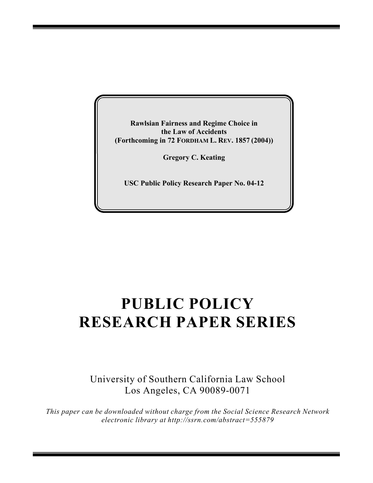**Rawlsian Fairness and Regime Choice in the Law of Accidents (Forthcoming in 72 FORDHAM L. REV. 1857 (2004))**

**Gregory C. Keating**

**USC Public Policy Research Paper No. 04-12**

# **PUBLIC POLICY RESEARCH PAPER SERIES**

University of Southern California Law School Los Angeles, CA 90089-0071

*This paper can be downloaded without charge from the Social Science Research Network electronic library at http://ssrn.com/abstract=555879*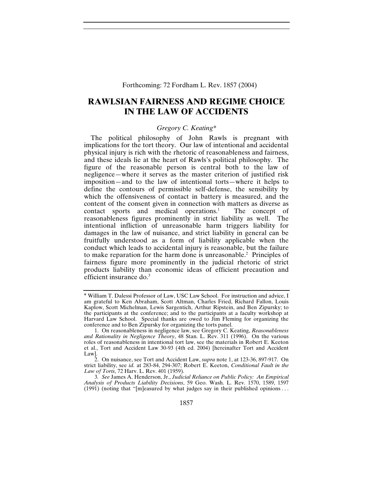## Forthcoming: 72 Fordham L. Rev. 1857 (2004)

## **RAWLSIAN FAIRNESS AND REGIME CHOICE IN THE LAW OF ACCIDENTS**

## *Gregory C. Keating\**

The political philosophy of John Rawls is pregnant with implications for the tort theory. Our law of intentional and accidental physical injury is rich with the rhetoric of reasonableness and fairness, and these ideals lie at the heart of Rawls's political philosophy. The figure of the reasonable person is central both to the law of negligence—where it serves as the master criterion of justified risk imposition—and to the law of intentional torts—where it helps to define the contours of permissible self-defense, the sensibility by which the offensiveness of contact in battery is measured, and the content of the consent given in connection with matters as diverse as contact sports and medical operations.<sup>1</sup> The concept of reasonableness figures prominently in strict liability as well. The intentional infliction of unreasonable harm triggers liability for damages in the law of nuisance, and strict liability in general can be fruitfully understood as a form of liability applicable when the conduct which leads to accidental injury is reasonable, but the failure to make reparation for the harm done is unreasonable.<sup>2</sup> Principles of fairness figure more prominently in the judicial rhetoric of strict products liability than economic ideas of efficient precaution and efficient insurance do.<sup>3</sup>

<sup>\*</sup> William T. Dalessi Professor of Law, USC Law School. For instruction and advice, I am grateful to Ken Abraham, Scott Altman, Charles Fried, Richard Fallon, Louis Kaplow, Scott Michelman, Lewis Sargentich, Arthur Ripstein, and Ben Zipursky; to the participants at the conference; and to the participants at a faculty workshop at Harvard Law School. Special thanks are owed to Jim Fleming for organizing the conference and to Ben Zipursky for organizing the torts panel.

 <sup>1.</sup> On reasonableness in negligence law, see Gregory C. Keating, *Reasonableness and Rationality in Negligence Theory*, 48 Stan. L. Rev. 311 (1996). On the various roles of reasonableness in intentional tort law, see the materials in Robert E. Keeton et al., Tort and Accident Law 30-93 (4th ed. 2004) [hereinafter Tort and Accident Law].

 <sup>2.</sup> On nuisance, see Tort and Accident Law, *supra* note 1, at 123-36, 897-917. On strict liability, see *id.* at 283-84, 294-307; Robert E. Keeton, *Conditional Fault in the Law of Torts*, 72 Harv. L. Rev. 401 (1959).

<sup>3</sup>*. See* James A. Henderson, Jr., *Judicial Reliance on Public Policy: An Empirical Analysis of Products Liability Decisions*, 59 Geo. Wash. L. Rev. 1570, 1589, 1597 (1991) (noting that "[m]easured by what judges say in their published opinions . . .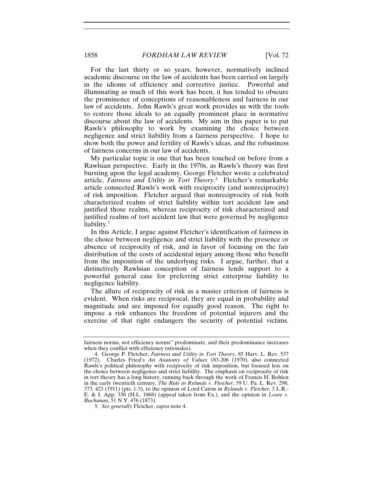For the last thirty or so years, however, normatively inclined academic discourse on the law of accidents has been carried on largely in the idioms of efficiency and corrective justice. Powerful and illuminating as much of this work has been, it has tended to obscure the prominence of conceptions of reasonableness and fairness in our law of accidents. John Rawls's great work provides us with the tools to restore those ideals to an equally prominent place in normative discourse about the law of accidents. My aim in this paper is to put Rawls's philosophy to work by examining the choice between negligence and strict liability from a fairness perspective. I hope to show both the power and fertility of Rawls's ideas, and the robustness of fairness concerns in our law of accidents.

My particular topic is one that has been touched on before from a Rawlsian perspective. Early in the 1970s, as Rawls's theory was first bursting upon the legal academy, George Fletcher wrote a celebrated article, *Fairness and Utility in Tort Theory*. 4 Fletcher's remarkable article connected Rawls's work with reciprocity (and nonreciprocity) of risk imposition. Fletcher argued that nonreciprocity of risk both characterized realms of strict liability within tort accident law and justified those realms, whereas reciprocity of risk characterized and justified realms of tort accident law that were governed by negligence liability.<sup>5</sup>

In this Article, I argue against Fletcher's identification of fairness in the choice between negligence and strict liability with the presence or absence of reciprocity of risk, and in favor of focusing on the fair distribution of the costs of accidental injury among those who benefit from the imposition of the underlying risks. I argue, further, that a distinctively Rawlsian conception of fairness lends support to a powerful general case for preferring strict enterprise liability to negligence liability.

The allure of reciprocity of risk as a master criterion of fairness is evident. When risks are reciprocal, they are equal in probability and magnitude and are imposed for equally good reason. The right to impose a risk enhances the freedom of potential injurers and the exercise of that right endangers the security of potential victims.

fairness norms, not efficiency norms" predominate, and their predominance increases when they conflict with efficiency rationales).

 <sup>4.</sup> George P. Fletcher, *Fairness and Utility in Tort Theory*, 85 Harv. L. Rev. 537 (1972). Charles Fried's *An Anatomy of Values* 183-206 (1970), also connected Rawls's political philosophy with reciprocity of risk imposition, but focused less on the choice between negligence and strict liability. The emphasis on reciprocity of risk in tort theory has a long history, running back through the work of Francis H. Bohlen in the early twentieth century, *The Rule in Rylands v. Fletcher*, 59 U. Pa. L. Rev. 298, 373, 423 (1911) (pts. 1-3), to the opinion of Lord Cairns in *Rylands v. Fletcher*, 3 L.R.- E. & I. App. 330 (H.L. 1868) (appeal taken from Ex.), and the opinion in *Losee v. Buchanan*, 51 N.Y. 476 (1873).

<sup>5</sup>*. See generally* Fletcher, *supra* note 4.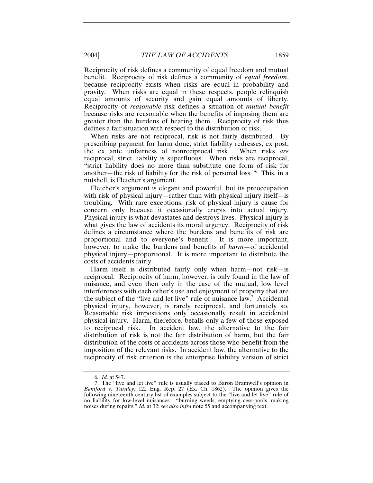Reciprocity of risk defines a community of equal freedom and mutual benefit. Reciprocity of risk defines a community of *equal freedom*, because reciprocity exists when risks are equal in probability and gravity. When risks are equal in these respects, people relinquish equal amounts of security and gain equal amounts of liberty. Reciprocity of *reasonable* risk defines a situation of *mutual benefit* because risks are reasonable when the benefits of imposing them are greater than the burdens of bearing them. Reciprocity of risk thus defines a fair situation with respect to the distribution of risk.

When risks are not reciprocal, risk is not fairly distributed. By prescribing payment for harm done, strict liability redresses, ex post, the ex ante unfairness of nonreciprocal risk. When risks *are* reciprocal, strict liability is superfluous. When risks are reciprocal, "strict liability does no more than substitute one form of risk for another—the risk of liability for the risk of personal loss."6 This, in a nutshell, is Fletcher's argument.

Fletcher's argument is elegant and powerful, but its preoccupation with risk of physical injury—rather than with physical injury itself—is troubling. With rare exceptions, risk of physical injury is cause for concern only because it occasionally erupts into actual injury. Physical injury is what devastates and destroys lives. Physical injury is what gives the law of accidents its moral urgency. Reciprocity of risk defines a circumstance where the burdens and benefits of risk are proportional and to everyone's benefit. It is more important, however, to make the burdens and benefits of *harm*—of accidental physical injury—proportional. It is more important to distribute the costs of accidents fairly.

Harm itself is distributed fairly only when harm—not risk—is reciprocal. Reciprocity of harm, however, is only found in the law of nuisance, and even then only in the case of the mutual, low level interferences with each other's use and enjoyment of property that are the subject of the "live and let live" rule of nuisance law.<sup>7</sup> Accidental physical injury, however, is rarely reciprocal, and fortunately so. Reasonable risk impositions only occasionally result in accidental physical injury. Harm, therefore, befalls only a few of those exposed to reciprocal risk. In accident law, the alternative to the fair distribution of risk is not the fair distribution of harm, but the fair distribution of the costs of accidents across those who benefit from the imposition of the relevant risks. In accident law, the alternative to the reciprocity of risk criterion is the enterprise liability version of strict

<sup>6</sup>*. Id.* at 547.

 <sup>7.</sup> The "live and let live" rule is usually traced to Baron Bramwell's opinion in *Bamford v. Turnley*, 122 Eng. Rep. 27 (Ex. Ch. 1862). The opinion gives the following nineteenth century list of examples subject to the "live and let live" rule of no liability for low-level nuisances: "burning weeds, emptying cess-pools, making noises during repairs." *Id.* at 32; *see also infra* note 55 and accompanying text.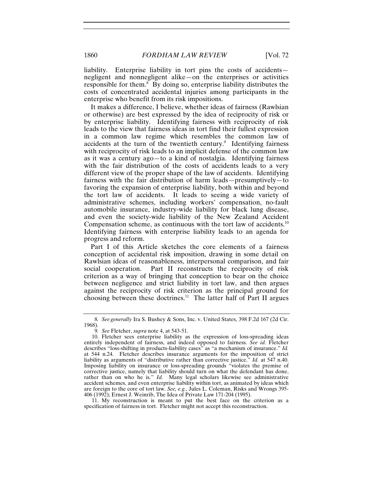liability. Enterprise liability in tort pins the costs of accidents negligent and nonnegligent alike—on the enterprises or activities responsible for them.<sup>8</sup> By doing so, enterprise liability distributes the costs of concentrated accidental injuries among participants in the enterprise who benefit from its risk impositions.

It makes a difference, I believe, whether ideas of fairness (Rawlsian or otherwise) are best expressed by the idea of reciprocity of risk or by enterprise liability. Identifying fairness with reciprocity of risk leads to the view that fairness ideas in tort find their fullest expression in a common law regime which resembles the common law of accidents at the turn of the twentieth century.<sup>9</sup> Identifying fairness with reciprocity of risk leads to an implicit defense of the common law as it was a century ago—to a kind of nostalgia. Identifying fairness with the fair distribution of the costs of accidents leads to a very different view of the proper shape of the law of accidents. Identifying fairness with the fair distribution of harm leads—presumptively—to favoring the expansion of enterprise liability, both within and beyond the tort law of accidents. It leads to seeing a wide variety of administrative schemes, including workers' compensation, no-fault automobile insurance, industry-wide liability for black lung disease, and even the society-wide liability of the New Zealand Accident Compensation scheme, as continuous with the tort law of accidents.<sup>10</sup> Identifying fairness with enterprise liability leads to an agenda for progress and reform.

Part I of this Article sketches the core elements of a fairness conception of accidental risk imposition, drawing in some detail on Rawlsian ideas of reasonableness, interpersonal comparison, and fair social cooperation. Part II reconstructs the reciprocity of risk criterion as a way of bringing that conception to bear on the choice between negligence and strict liability in tort law, and then argues against the reciprocity of risk criterion as the principal ground for choosing between these doctrines.<sup>11</sup> The latter half of Part II argues

 11. My reconstruction is meant to put the best face on the criterion as a specification of fairness in tort. Fletcher might not accept this reconstruction.

<sup>8</sup>*. See generally* Ira S. Bushey & Sons, Inc. v. United States, 398 F.2d 167 (2d Cir. 1968).

<sup>9</sup>*. See* Fletcher, *supra* note 4, at 543-51.

 <sup>10.</sup> Fletcher sees enterprise liability as the expression of loss-spreading ideas entirely independent of fairness, and indeed opposed to fairness. *See id.* Fletcher describes "loss-shifting in products-liability cases" as "a mechanism of insurance." *Id.* at 544 n.24. Fletcher describes insurance arguments for the imposition of strict liability as arguments of "distributive rather than corrective justice." *Id.* at 547 n.40. Imposing liability on insurance or loss-spreading grounds "violates the premise of corrective justice, namely that liability should turn on what the defendant has done, rather than on who he is." *Id.* Many legal scholars likewise see administrative accident schemes, and even enterprise liability within tort, as animated by ideas which are foreign to the core of tort law. *See, e.g.*, Jules L. Coleman, Risks and Wrongs 395- 406 (1992); Ernest J. Weinrib, The Idea of Private Law 171-204 (1995).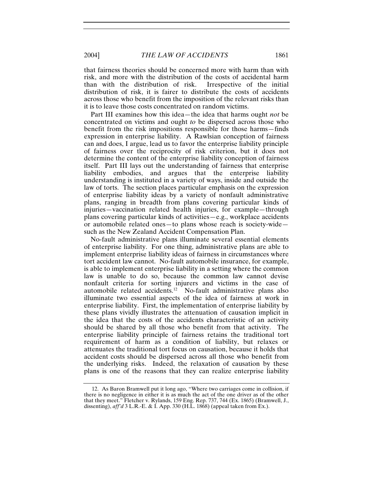2004] *THE LAW OF ACCIDENTS* 1861

that fairness theories should be concerned more with harm than with risk, and more with the distribution of the costs of accidental harm<br>than with the distribution of risk. Irrespective of the initial than with the distribution of risk. distribution of risk, it is fairer to distribute the costs of accidents across those who benefit from the imposition of the relevant risks than it is to leave those costs concentrated on random victims.

Part III examines how this idea—the idea that harms ought *not* be concentrated on victims and ought *to* be dispersed across those who benefit from the risk impositions responsible for those harms—finds expression in enterprise liability. A Rawlsian conception of fairness can and does, I argue, lead us to favor the enterprise liability principle of fairness over the reciprocity of risk criterion, but it does not determine the content of the enterprise liability conception of fairness itself. Part III lays out the understanding of fairness that enterprise liability embodies, and argues that the enterprise liability understanding is instituted in a variety of ways, inside and outside the law of torts. The section places particular emphasis on the expression of enterprise liability ideas by a variety of nonfault administrative plans, ranging in breadth from plans covering particular kinds of injuries—vaccination related health injuries, for example—through plans covering particular kinds of activities—e.g., workplace accidents or automobile related ones—to plans whose reach is society-wide such as the New Zealand Accident Compensation Plan.

No-fault administrative plans illuminate several essential elements of enterprise liability. For one thing, administrative plans are able to implement enterprise liability ideas of fairness in circumstances where tort accident law cannot. No-fault automobile insurance, for example, is able to implement enterprise liability in a setting where the common law is unable to do so, because the common law cannot devise nonfault criteria for sorting injurers and victims in the case of automobile related accidents.<sup>12</sup> No-fault administrative plans also illuminate two essential aspects of the idea of fairness at work in enterprise liability. First, the implementation of enterprise liability by these plans vividly illustrates the attenuation of causation implicit in the idea that the costs of the accidents characteristic of an activity should be shared by all those who benefit from that activity. The enterprise liability principle of fairness retains the traditional tort requirement of harm as a condition of liability, but relaxes or attenuates the traditional tort focus on causation, because it holds that accident costs should be dispersed across all those who benefit from the underlying risks. Indeed, the relaxation of causation by these plans is one of the reasons that they can realize enterprise liability

 <sup>12.</sup> As Baron Bramwell put it long ago, "Where two carriages come in collision, if there is no negligence in either it is as much the act of the one driver as of the other that they meet." Fletcher v. Rylands, 159 Eng. Rep. 737, 744 (Ex. 1865) (Bramwell, J., dissenting), *aff'd* 3 L.R.-E. & I. App. 330 (H.L. 1868) (appeal taken from Ex.).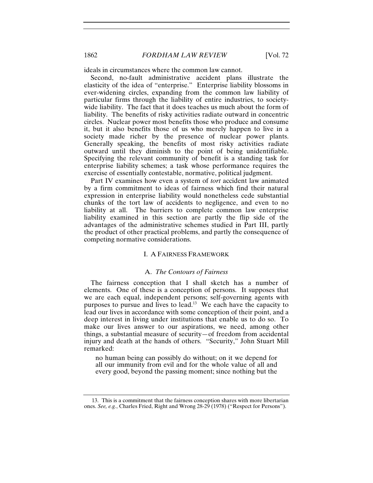1862 *FORDHAM LAW REVIEW* [Vol. 72]

ideals in circumstances where the common law cannot.

Second, no-fault administrative accident plans illustrate the elasticity of the idea of "enterprise." Enterprise liability blossoms in ever-widening circles, expanding from the common law liability of particular firms through the liability of entire industries, to societywide liability. The fact that it does teaches us much about the form of liability. The benefits of risky activities radiate outward in concentric circles. Nuclear power most benefits those who produce and consume it, but it also benefits those of us who merely happen to live in a society made richer by the presence of nuclear power plants. Generally speaking, the benefits of most risky activities radiate outward until they diminish to the point of being unidentifiable. Specifying the relevant community of benefit is a standing task for enterprise liability schemes; a task whose performance requires the exercise of essentially contestable, normative, political judgment.

Part IV examines how even a system of *tort* accident law animated by a firm commitment to ideas of fairness which find their natural expression in enterprise liability would nonetheless cede substantial chunks of the tort law of accidents to negligence, and even to no liability at all. The barriers to complete common law enterprise liability examined in this section are partly the flip side of the advantages of the administrative schemes studied in Part III, partly the product of other practical problems, and partly the consequence of competing normative considerations.

#### I. A FAIRNESS FRAMEWORK

#### A. *The Contours of Fairness*

The fairness conception that I shall sketch has a number of elements. One of these is a conception of persons. It supposes that we are each equal, independent persons; self-governing agents with purposes to pursue and lives to lead.13 We each have the capacity to lead our lives in accordance with some conception of their point, and a deep interest in living under institutions that enable us to do so. To make our lives answer to our aspirations, we need, among other things, a substantial measure of security—of freedom from accidental injury and death at the hands of others. "Security," John Stuart Mill remarked:

no human being can possibly do without; on it we depend for all our immunity from evil and for the whole value of all and every good, beyond the passing moment; since nothing but the

 <sup>13.</sup> This is a commitment that the fairness conception shares with more libertarian ones. *See, e.g.*, Charles Fried, Right and Wrong 28-29 (1978) ("Respect for Persons").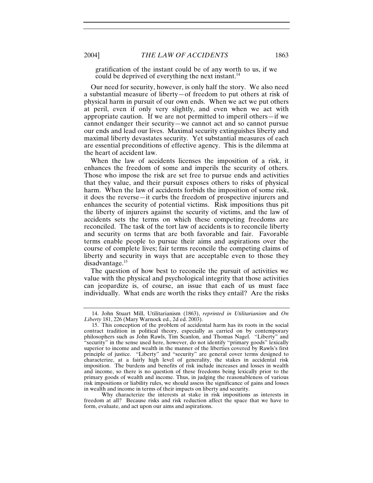gratification of the instant could be of any worth to us, if we could be deprived of everything the next instant. $^{14}$ 

Our need for security, however, is only half the story. We also need a substantial measure of liberty—of freedom to put others at risk of physical harm in pursuit of our own ends. When we act we put others at peril, even if only very slightly, and even when we act with appropriate caution. If we are not permitted to imperil others—if we cannot endanger their security—we cannot act and so cannot pursue our ends and lead our lives. Maximal security extinguishes liberty and maximal liberty devastates security. Yet substantial measures of each are essential preconditions of effective agency. This is the dilemma at the heart of accident law.

When the law of accidents licenses the imposition of a risk, it enhances the freedom of some and imperils the security of others. Those who impose the risk are set free to pursue ends and activities that they value, and their pursuit exposes others to risks of physical harm. When the law of accidents forbids the imposition of some risk, it does the reverse—it curbs the freedom of prospective injurers and enhances the security of potential victims. Risk impositions thus pit the liberty of injurers against the security of victims, and the law of accidents sets the terms on which these competing freedoms are reconciled. The task of the tort law of accidents is to reconcile liberty and security on terms that are both favorable and fair. Favorable terms enable people to pursue their aims and aspirations over the course of complete lives; fair terms reconcile the competing claims of liberty and security in ways that are acceptable even to those they disadvantage.15

The question of how best to reconcile the pursuit of activities we value with the physical and psychological integrity that those activities can jeopardize is, of course, an issue that each of us must face individually. What ends are worth the risks they entail? Are the risks

 Why characterize the interests at stake in risk impositions as interests in freedom at all? Because risks and risk reduction affect the space that we have to form, evaluate, and act upon our aims and aspirations.

 <sup>14.</sup> John Stuart Mill, Utilitarianism (1863), *reprinted in Utilitarianism* and *On Liberty* 181, 226 (Mary Warnock ed., 2d ed. 2003).

 <sup>15.</sup> This conception of the problem of accidental harm has its roots in the social contract tradition in political theory, especially as carried on by contemporary philosophers such as John Rawls, Tim Scanlon, and Thomas Nagel. "Liberty" and "security" in the sense used here, however, do not identify "primary goods" lexically superior to income and wealth in the manner of the liberties covered by Rawls's first principle of justice. "Liberty" and "security" are general cover terms designed to characterize, at a fairly high level of generality, the stakes in accidental risk imposition. The burdens and benefits of risk include increases and losses in wealth and income, so there is no question of these freedoms being lexically prior to the primary goods of wealth and income. Thus, in judging the reasonableness of various risk impositions or liability rules, we should assess the significance of gains and losses in wealth and income in terms of their impacts on liberty and security.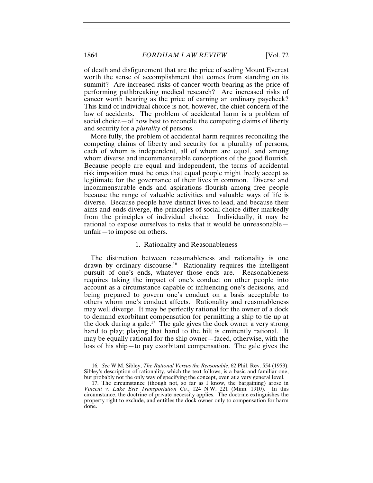1864 *FORDHAM LAW REVIEW* [Vol. 72]

of death and disfigurement that are the price of scaling Mount Everest worth the sense of accomplishment that comes from standing on its summit? Are increased risks of cancer worth bearing as the price of performing pathbreaking medical research? Are increased risks of cancer worth bearing as the price of earning an ordinary paycheck? This kind of individual choice is not, however, the chief concern of the law of accidents. The problem of accidental harm is a problem of social choice—of how best to reconcile the competing claims of liberty and security for a *plurality* of persons.

More fully, the problem of accidental harm requires reconciling the competing claims of liberty and security for a plurality of persons, each of whom is independent, all of whom are equal, and among whom diverse and incommensurable conceptions of the good flourish. Because people are equal and independent, the terms of accidental risk imposition must be ones that equal people might freely accept as legitimate for the governance of their lives in common. Diverse and incommensurable ends and aspirations flourish among free people because the range of valuable activities and valuable ways of life is diverse. Because people have distinct lives to lead, and because their aims and ends diverge, the principles of social choice differ markedly from the principles of individual choice. Individually, it may be rational to expose ourselves to risks that it would be unreasonable unfair—to impose on others.

## 1. Rationality and Reasonableness

The distinction between reasonableness and rationality is one drawn by ordinary discourse.16 Rationality requires the intelligent pursuit of one's ends, whatever those ends are. Reasonableness requires taking the impact of one's conduct on other people into account as a circumstance capable of influencing one's decisions, and being prepared to govern one's conduct on a basis acceptable to others whom one's conduct affects. Rationality and reasonableness may well diverge. It may be perfectly rational for the owner of a dock to demand exorbitant compensation for permitting a ship to tie up at the dock during a gale.<sup>17</sup> The gale gives the dock owner a very strong hand to play; playing that hand to the hilt is eminently rational. It may be equally rational for the ship owner—faced, otherwise, with the loss of his ship—to pay exorbitant compensation. The gale gives the

<sup>16</sup>*. See* W.M. Sibley, *The Rational Versus the Reasonable*, 62 Phil. Rev. 554 (1953). Sibley's description of rationality, which the text follows, is a basic and familiar one, but probably not the only way of specifying the concept, even at a very general level.

 <sup>17.</sup> The circumstance (though not, so far as I know, the bargaining) arose in *Vincent v. Lake Erie Transportation Co.*, 124 N.W. 221 (Minn. 1910). In this circumstance, the doctrine of private necessity applies. The doctrine extinguishes the property right to exclude, and entitles the dock owner only to compensation for harm done.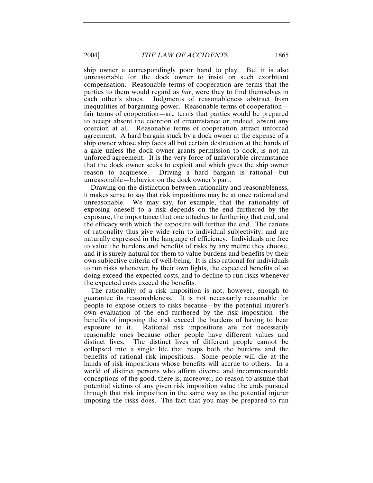ship owner a correspondingly poor hand to play. But it is also unreasonable for the dock owner to insist on such exorbitant compensation. Reasonable terms of cooperation are terms that the parties to them would regard as *fair*, were they to find themselves in each other's shoes. Judgments of reasonableness abstract from inequalities of bargaining power. Reasonable terms of cooperation fair terms of cooperation—are terms that parties would be prepared to accept absent the coercion of circumstance or, indeed, absent any coercion at all. Reasonable terms of cooperation attract unforced agreement. A hard bargain stuck by a dock owner at the expense of a ship owner whose ship faces all but certain destruction at the hands of a gale unless the dock owner grants permission to dock, is not an unforced agreement. It is the very force of unfavorable circumstance that the dock owner seeks to exploit and which gives the ship owner reason to acquiesce. Driving a hard bargain is rational—but unreasonable—behavior on the dock owner's part.

Drawing on the distinction between rationality and reasonableness, it makes sense to say that risk impositions may be at once rational and unreasonable. We may say, for example, that the rationality of exposing oneself to a risk depends on the end furthered by the exposure, the importance that one attaches to furthering that end, and the efficacy with which the exposure will further the end. The canons of rationality thus give wide rein to individual subjectivity, and are naturally expressed in the language of efficiency. Individuals are free to value the burdens and benefits of risks by any metric they choose, and it is surely natural for them to value burdens and benefits by their own subjective criteria of well-being. It is also rational for individuals to run risks whenever, by their own lights, the expected benefits of so doing exceed the expected costs, and to decline to run risks whenever the expected costs exceed the benefits.

The rationality of a risk imposition is not, however, enough to guarantee its reasonableness. It is not necessarily reasonable for people to expose others to risks because—by the potential injurer's own evaluation of the end furthered by the risk imposition—the benefits of imposing the risk exceed the burdens of having to bear exposure to it. Rational risk impositions are not necessarily reasonable ones because other people have different values and The distinct lives of different people cannot be collapsed into a single life that reaps both the burdens and the benefits of rational risk impositions. Some people will die at the hands of risk impositions whose benefits will accrue to others. In a world of distinct persons who affirm diverse and incommensurable conceptions of the good, there is, moreover, no reason to assume that potential victims of any given risk imposition value the ends pursued through that risk imposition in the same way as the potential injurer imposing the risks does. The fact that you may be prepared to run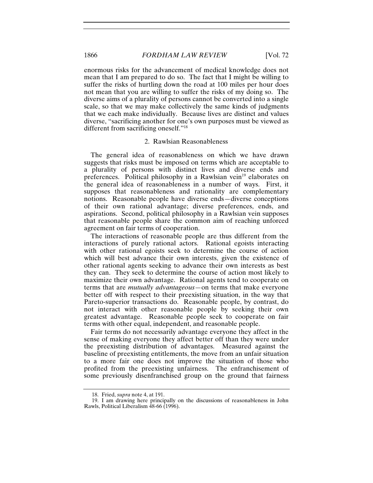enormous risks for the advancement of medical knowledge does not mean that I am prepared to do so. The fact that I might be willing to suffer the risks of hurtling down the road at 100 miles per hour does not mean that you are willing to suffer the risks of my doing so. The diverse aims of a plurality of persons cannot be converted into a single scale, so that we may make collectively the same kinds of judgments that we each make individually. Because lives are distinct and values diverse, "sacrificing another for one's own purposes must be viewed as different from sacrificing oneself."<sup>18</sup>

#### 2. Rawlsian Reasonableness

The general idea of reasonableness on which we have drawn suggests that risks must be imposed on terms which are acceptable to a plurality of persons with distinct lives and diverse ends and preferences. Political philosophy in a Rawlsian vein<sup>19</sup> elaborates on the general idea of reasonableness in a number of ways. First, it supposes that reasonableness and rationality are complementary notions. Reasonable people have diverse ends—diverse conceptions of their own rational advantage; diverse preferences, ends, and aspirations. Second, political philosophy in a Rawlsian vein supposes that reasonable people share the common aim of reaching unforced agreement on fair terms of cooperation.

The interactions of reasonable people are thus different from the interactions of purely rational actors. Rational egoists interacting with other rational egoists seek to determine the course of action which will best advance their own interests, given the existence of other rational agents seeking to advance their own interests as best they can. They seek to determine the course of action most likely to maximize their own advantage. Rational agents tend to cooperate on terms that are *mutually advantageous*—on terms that make everyone better off with respect to their preexisting situation, in the way that Pareto-superior transactions do. Reasonable people, by contrast, do not interact with other reasonable people by seeking their own greatest advantage. Reasonable people seek to cooperate on fair terms with other equal, independent, and reasonable people.

Fair terms do not necessarily advantage everyone they affect in the sense of making everyone they affect better off than they were under the preexisting distribution of advantages. Measured against the baseline of preexisting entitlements, the move from an unfair situation to a more fair one does not improve the situation of those who profited from the preexisting unfairness. The enfranchisement of some previously disenfranchised group on the ground that fairness

 <sup>18.</sup> Fried, *supra* note 4, at 191.

 <sup>19.</sup> I am drawing here principally on the discussions of reasonableness in John Rawls, Political Liberalism 48-66 (1996).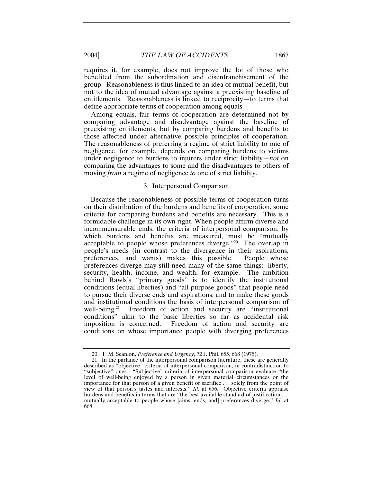2004] *THE LAW OF ACCIDENTS* 1867

requires it, for example, does not improve the lot of those who benefited from the subordination and disenfranchisement of the group. Reasonableness is thus linked to an idea of mutual benefit, but not to the idea of mutual advantage against a preexisting baseline of entitlements. Reasonableness is linked to reciprocity—to terms that define appropriate terms of cooperation among equals.

Among equals, fair terms of cooperation are determined not by comparing advantage and disadvantage against the baseline of preexisting entitlements, but by comparing burdens and benefits to those affected under alternative possible principles of cooperation. The reasonableness of preferring a regime of strict liability to one of negligence, for example, depends on comparing burdens to victims under negligence to burdens to injurers under strict liability—*not* on comparing the advantages to some and the disadvantages to others of moving *from* a regime of negligence *to* one of strict liability.

## 3. Interpersonal Comparison

Because the reasonableness of possible terms of cooperation turns on their distribution of the burdens and benefits of cooperation, some criteria for comparing burdens and benefits are necessary. This is a formidable challenge in its own right. When people affirm diverse and incommensurable ends, the criteria of interpersonal comparison, by which burdens and benefits are measured, must be "mutually acceptable to people whose preferences diverge."20 The overlap in people's needs (in contrast to the divergence in their aspirations, preferences, and wants) makes this possible. People whose preferences diverge may still need many of the same things: liberty, security, health, income, and wealth, for example. The ambition behind Rawls's "primary goods" is to identify the institutional conditions (equal liberties) and "all purpose goods" that people need to pursue their diverse ends and aspirations, and to make these goods and institutional conditions the basis of interpersonal comparison of well-being.<sup>21</sup> Freedom of action and security are "institutional conditions" akin to the basic liberties so far as accidental risk imposition is concerned. Freedom of action and security are conditions on whose importance people with diverging preferences

 <sup>20.</sup> T. M. Scanlon, *Preference and Urgency*, 72 J. Phil. 655, 668 (1975).

 <sup>21.</sup> In the parlance of the interpersonal comparison literature, these are generally described as "objective" criteria of interpersonal comparison, in contradistinction to "subjective" ones. "Subjective" criteria of interpersonal comparison evaluate "the level of well-being enjoyed by a person in given material circumstances or the importance for that person of a given benefit or sacrifice . . . solely from the point of view of that person's tastes and interests." *Id.* at 656. Objective criteria appraise burdens and benefits in terms that are "the best available standard of justification . . . mutually acceptable to people whose [aims, ends, and] preferences diverge." *Id.* at 668.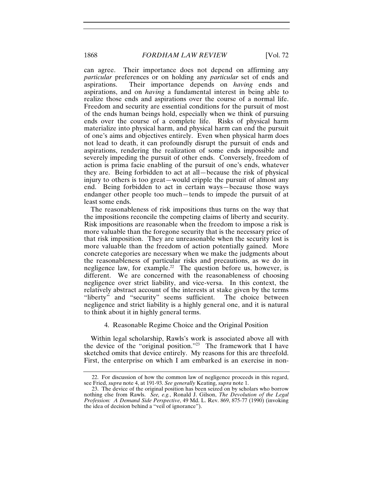can agree. Their importance does not depend on affirming any *particular* preferences or on holding any *particular* set of ends and aspirations. Their importance depends on *having* ends and aspirations, and on *having* a fundamental interest in being able to realize those ends and aspirations over the course of a normal life. Freedom and security are essential conditions for the pursuit of most of the ends human beings hold, especially when we think of pursuing ends over the course of a complete life. Risks of physical harm materialize into physical harm, and physical harm can end the pursuit of one's aims and objectives entirely. Even when physical harm does not lead to death, it can profoundly disrupt the pursuit of ends and aspirations, rendering the realization of some ends impossible and severely impeding the pursuit of other ends. Conversely, freedom of action is prima facie enabling of the pursuit of one's ends, whatever they are. Being forbidden to act at all—because the risk of physical injury to others is too great—would cripple the pursuit of almost any end. Being forbidden to act in certain ways—because those ways endanger other people too much—tends to impede the pursuit of at least some ends.

The reasonableness of risk impositions thus turns on the way that the impositions reconcile the competing claims of liberty and security. Risk impositions are reasonable when the freedom to impose a risk is more valuable than the foregone security that is the necessary price of that risk imposition. They are unreasonable when the security lost is more valuable than the freedom of action potentially gained. More concrete categories are necessary when we make the judgments about the reasonableness of particular risks and precautions, as we do in negligence law, for example.<sup>22</sup> The question before us, however, is different. We are concerned with the reasonableness of choosing negligence over strict liability, and vice-versa. In this context, the relatively abstract account of the interests at stake given by the terms "liberty" and "security" seems sufficient. The choice between negligence and strict liability is a highly general one, and it is natural to think about it in highly general terms.

4. Reasonable Regime Choice and the Original Position

Within legal scholarship, Rawls's work is associated above all with the device of the "original position."23 The framework that I have sketched omits that device entirely. My reasons for this are threefold. First, the enterprise on which I am embarked is an exercise in non-

 <sup>22.</sup> For discussion of how the common law of negligence proceeds in this regard, see Fried, *supra* note 4, at 191-93. *See generally* Keating, *supra* note 1.

 <sup>23.</sup> The device of the original position has been seized on by scholars who borrow nothing else from Rawls. *See, e.g.*, Ronald J. Gilson, *The Devolution of the Legal Profession: A Demand Side Perspective*, 49 Md. L. Rev. 869, 875-77 (1990) (invoking the idea of decision behind a "veil of ignorance").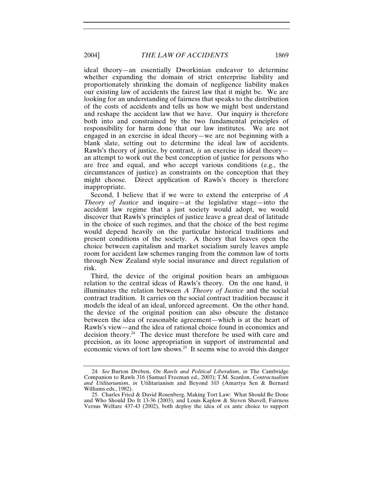ideal theory—an essentially Dworkinian endeavor to determine whether expanding the domain of strict enterprise liability and proportionately shrinking the domain of negligence liability makes our existing law of accidents the fairest law that it might be. We are looking for an understanding of fairness that speaks to the distribution of the costs of accidents and tells us how we might best understand and reshape the accident law that we have. Our inquiry is therefore both into and constrained by the two fundamental principles of responsibility for harm done that our law institutes. We are not engaged in an exercise in ideal theory—we are not beginning with a blank slate, setting out to determine the ideal law of accidents. Rawls's theory of justice, by contrast, *is* an exercise in ideal theory an attempt to work out the best conception of justice for persons who are free and equal, and who accept various conditions (e.g., the circumstances of justice) as constraints on the conception that they might choose. Direct application of Rawls's theory is therefore inappropriate.

Second, I believe that if we were to extend the enterprise of *A Theory of Justice* and inquire—at the legislative stage—into the accident law regime that a just society would adopt, we would discover that Rawls's principles of justice leave a great deal of latitude in the choice of such regimes, and that the choice of the best regime would depend heavily on the particular historical traditions and present conditions of the society. A theory that leaves open the choice between capitalism and market socialism surely leaves ample room for accident law schemes ranging from the common law of torts through New Zealand style social insurance and direct regulation of risk.

Third, the device of the original position bears an ambiguous relation to the central ideas of Rawls's theory. On the one hand, it illuminates the relation between *A Theory of Justice* and the social contract tradition. It carries on the social contract tradition because it models the ideal of an ideal, unforced agreement. On the other hand, the device of the original position can also obscure the distance between the idea of reasonable agreement—which is at the heart of Rawls's view—and the idea of rational choice found in economics and decision theory.24 The device must therefore be used with care and precision, as its loose appropriation in support of instrumental and economic views of tort law shows.<sup>25</sup> It seems wise to avoid this danger

<sup>24</sup>*. See* Burton Dreben, *On Rawls and Political Liberalism*, *in* The Cambridge Companion to Rawls 316 (Samuel Freeman ed., 2003); T.M. Scanlon, *Contractualism and Utilitarianism*, *in* Utilitarianism and Beyond 103 (Amartya Sen & Bernard Williams eds., 1982).

 <sup>25.</sup> Charles Fried & David Rosenberg, Making Tort Law: What Should Be Done and Who Should Do It 13-36 (2003), and Louis Kaplow & Steven Shavell, Fairness Versus Welfare 437-43 (2002), both deploy the idea of ex ante choice to support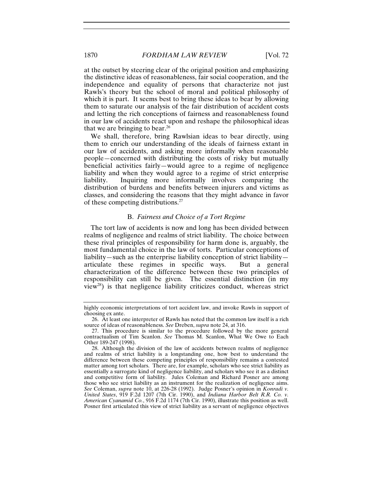at the outset by steering clear of the original position and emphasizing the distinctive ideas of reasonableness, fair social cooperation, and the independence and equality of persons that characterize not just Rawls's theory but the school of moral and political philosophy of which it is part. It seems best to bring these ideas to bear by allowing them to saturate our analysis of the fair distribution of accident costs and letting the rich conceptions of fairness and reasonableness found

that we are bringing to bear.<sup>26</sup> We shall, therefore, bring Rawlsian ideas to bear directly, using them to enrich our understanding of the ideals of fairness extant in our law of accidents, and asking more informally when reasonable people—concerned with distributing the costs of risky but mutually beneficial activities fairly—would agree to a regime of negligence liability and when they would agree to a regime of strict enterprise liability. Inquiring more informally involves comparing the distribution of burdens and benefits between injurers and victims as classes, and considering the reasons that they might advance in favor of these competing distributions.27

in our law of accidents react upon and reshape the philosophical ideas

#### B. *Fairness and Choice of a Tort Regime*

The tort law of accidents is now and long has been divided between realms of negligence and realms of strict liability. The choice between these rival principles of responsibility for harm done is, arguably, the most fundamental choice in the law of torts. Particular conceptions of liability—such as the enterprise liability conception of strict liability articulate these regimes in specific ways. But a general characterization of the difference between these two principles of responsibility can still be given. The essential distinction (in my  $v$ iew<sup>28</sup>) is that negligence liability criticizes conduct, whereas strict

highly economic interpretations of tort accident law, and invoke Rawls in support of choosing ex ante.

 <sup>26.</sup> At least one interpreter of Rawls has noted that the common law itself is a rich source of ideas of reasonableness. *See* Dreben, *supra* note 24, at 316.

 <sup>27.</sup> This procedure is similar to the procedure followed by the more general contractualism of Tim Scanlon. *See* Thomas M. Scanlon, What We Owe to Each Other 189-247 (1998).

 <sup>28.</sup> Although the division of the law of accidents between realms of negligence and realms of strict liability is a longstanding one, how best to understand the difference between these competing principles of responsibility remains a contested matter among tort scholars. There are, for example, scholars who see strict liability as essentially a surrogate kind of negligence liability, and scholars who see it as a distinct and competitive form of liability. Jules Coleman and Richard Posner are among those who see strict liability as an instrument for the realization of negligence aims. *See* Coleman, *supra* note 10, at 226-28 (1992). Judge Posner's opinion in *Konradi v. United States*, 919 F.2d 1207 (7th Cir. 1990), and *Indiana Harbor Belt R.R. Co. v. American Cyanamid Co.*, 916 F.2d 1174 (7th Cir. 1990), illustrate this position as well. Posner first articulated this view of strict liability as a servant of negligence objectives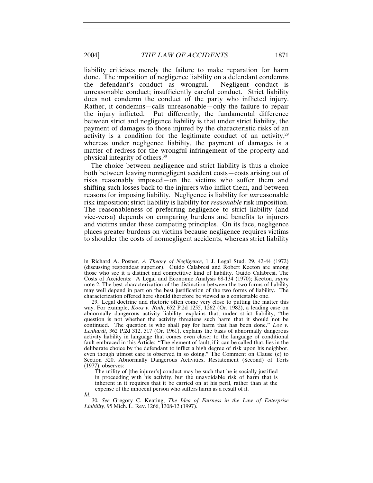liability criticizes merely the failure to make reparation for harm done. The imposition of negligence liability on a defendant condemns the defendant's conduct as wrongful. Negligent conduct is unreasonable conduct; insufficiently careful conduct. Strict liability does not condemn the conduct of the party who inflicted injury. Rather, it condemns—calls unreasonable—only the failure to repair the injury inflicted. Put differently, the fundamental difference between strict and negligence liability is that under strict liability, the payment of damages to those injured by the characteristic risks of an activity is a condition for the legitimate conduct of an activity, $2^9$ whereas under negligence liability, the payment of damages is a matter of redress for the wrongful infringement of the property and physical integrity of others.30

The choice between negligence and strict liability is thus a choice both between leaving nonnegligent accident costs—costs arising out of risks reasonably imposed—on the victims who suffer them and shifting such losses back to the injurers who inflict them, and between reasons for imposing liability. Negligence is liability for *un*reasonable risk imposition; strict liability is liability for *reasonable* risk imposition. The reasonableness of preferring negligence to strict liability (and vice-versa) depends on comparing burdens and benefits to injurers and victims under these competing principles. On its face, negligence places greater burdens on victims because negligence requires victims to shoulder the costs of nonnegligent accidents, whereas strict liability

The utility of [the injurer's] conduct may be such that he is socially justified in proceeding with his activity, but the unavoidable risk of harm that is inherent in it requires that it be carried on at his peril, rather than at the expense of the innocent person who suffers harm as a result of it.

in Richard A. Posner, *A Theory of Negligence*, 1 J. Legal Stud. 29, 42-44 (1972) (discussing respondeat superior). Guido Calabresi and Robert Keeton are among those who see it a distinct and competitive kind of liability. Guido Calabresi, The Costs of Accidents: A Legal and Economic Analysis 68-134 (1970); Keeton, *supra* note 2. The best characterization of the distinction between the two forms of liability may well depend in part on the best justification of the two forms of liability. The characterization offered here should therefore be viewed as a contestable one.

 <sup>29.</sup> Legal doctrine and rhetoric often come very close to putting the matter this way. For example, *Koos v. Roth*, 652 P.2d 1255, 1262 (Or. 1982), a leading case on abnormally dangerous activity liability, explains that, under strict liability, "the question is not whether the activity threatens such harm that it should not be continued. The question is who shall pay for harm that has been done." *Loe v. Lenhardt*, 362 P.2d 312, 317 (Or. 1961), explains the basis of abnormally dangerous activity liability in language that comes even closer to the language of conditional fault embraced in this Article: "The element of fault, if it can be called that, lies in the deliberate choice by the defendant to inflict a high degree of risk upon his neighbor, even though utmost care is observed in so doing." The Comment on Clause (c) to Section 520, Abnormally Dangerous Activities, Restatement (Second) of Torts (1977), observes:

*Id.* 

<sup>30</sup>*. See* Gregory C. Keating, *The Idea of Fairness in the Law of Enterprise Liability*, 95 Mich. L. Rev. 1266, 1308-12 (1997).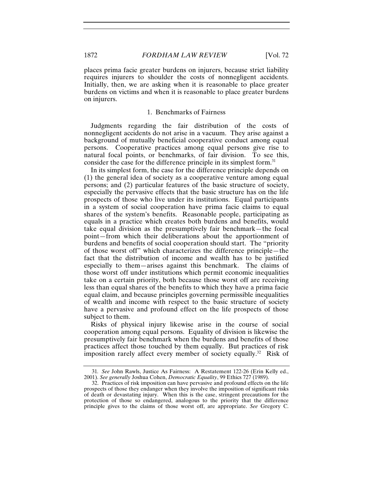places prima facie greater burdens on injurers, because strict liability requires injurers to shoulder the costs of nonnegligent accidents. Initially, then, we are asking when it is reasonable to place greater burdens on victims and when it is reasonable to place greater burdens on injurers.

## 1. Benchmarks of Fairness

Judgments regarding the fair distribution of the costs of nonnegligent accidents do not arise in a vacuum. They arise against a background of mutually beneficial cooperative conduct among equal persons. Cooperative practices among equal persons give rise to natural focal points, or benchmarks, of fair division. To see this, consider the case for the difference principle in its simplest form.<sup>31</sup>

In its simplest form, the case for the difference principle depends on (1) the general idea of society as a cooperative venture among equal persons; and (2) particular features of the basic structure of society, especially the pervasive effects that the basic structure has on the life prospects of those who live under its institutions. Equal participants in a system of social cooperation have prima facie claims to equal shares of the system's benefits. Reasonable people, participating as equals in a practice which creates both burdens and benefits, would take equal division as the presumptively fair benchmark—the focal point—from which their deliberations about the apportionment of burdens and benefits of social cooperation should start. The "priority of those worst off" which characterizes the difference principle—the fact that the distribution of income and wealth has to be justified especially to them—arises against this benchmark. The claims of those worst off under institutions which permit economic inequalities take on a certain priority, both because those worst off are receiving less than equal shares of the benefits to which they have a prima facie equal claim, and because principles governing permissible inequalities of wealth and income with respect to the basic structure of society have a pervasive and profound effect on the life prospects of those subject to them.

Risks of physical injury likewise arise in the course of social cooperation among equal persons. Equality of division is likewise the presumptively fair benchmark when the burdens and benefits of those practices affect those touched by them equally. But practices of risk imposition rarely affect every member of society equally.<sup>32</sup> Risk of

<sup>31</sup>*. See* John Rawls, Justice As Fairness: A Restatement 122-26 (Erin Kelly ed., 2001). *See generally* Joshua Cohen, *Democratic Equality*, 99 Ethics 727 (1989).

 <sup>32.</sup> Practices of risk imposition can have pervasive and profound effects on the life prospects of those they endanger when they involve the imposition of significant risks of death or devastating injury. When this is the case, stringent precautions for the protection of those so endangered, analogous to the priority that the difference principle gives to the claims of those worst off, are appropriate. *See* Gregory C.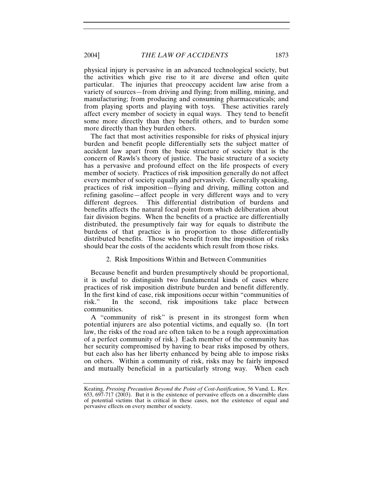2004] *THE LAW OF ACCIDENTS* 1873

physical injury is pervasive in an advanced technological society, but the activities which give rise to it are diverse and often quite particular. The injuries that preoccupy accident law arise from a variety of sources—from driving and flying; from milling, mining, and manufacturing; from producing and consuming pharmaceuticals; and from playing sports and playing with toys. These activities rarely affect every member of society in equal ways. They tend to benefit some more directly than they benefit others, and to burden some more directly than they burden others.

The fact that most activities responsible for risks of physical injury burden and benefit people differentially sets the subject matter of accident law apart from the basic structure of society that is the concern of Rawls's theory of justice. The basic structure of a society has a pervasive and profound effect on the life prospects of every member of society. Practices of risk imposition generally do not affect every member of society equally and pervasively. Generally speaking, practices of risk imposition—flying and driving, milling cotton and refining gasoline—affect people in very different ways and to very different degrees. This differential distribution of burdens and benefits affects the natural focal point from which deliberation about fair division begins. When the benefits of a practice are differentially distributed, the presumptively fair way for equals to distribute the burdens of that practice is in proportion to those differentially distributed benefits. Those who benefit from the imposition of risks should bear the costs of the accidents which result from those risks.

#### 2. Risk Impositions Within and Between Communities

Because benefit and burden presumptively should be proportional, it is useful to distinguish two fundamental kinds of cases where practices of risk imposition distribute burden and benefit differently. In the first kind of case, risk impositions occur within "communities of risk." In the second, risk impositions take place between communities.

A "community of risk" is present in its strongest form when potential injurers are also potential victims, and equally so. (In tort law, the risks of the road are often taken to be a rough approximation of a perfect community of risk.) Each member of the community has her security compromised by having to bear risks imposed by others, but each also has her liberty enhanced by being able to impose risks on others. Within a community of risk, risks may be fairly imposed and mutually beneficial in a particularly strong way. When each

Keating, *Pressing Precaution Beyond the Point of Cost-Justification*, 56 Vand. L. Rev. 653, 697-717 (2003). But it is the existence of pervasive effects on a discernible class of potential victims that is critical in these cases, not the existence of equal and pervasive effects on every member of society.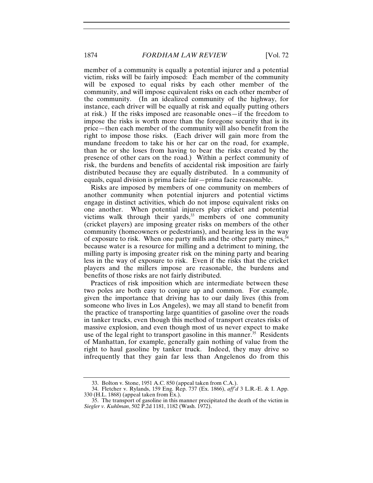1874 *FORDHAM LAW REVIEW* [Vol. 72]

member of a community is equally a potential injurer and a potential victim, risks will be fairly imposed: Each member of the community will be exposed to equal risks by each other member of the community, and will impose equivalent risks on each other member of the community. (In an idealized community of the highway, for instance, each driver will be equally at risk and equally putting others at risk.) If the risks imposed are reasonable ones—if the freedom to impose the risks is worth more than the foregone security that is its price—then each member of the community will also benefit from the right to impose those risks. (Each driver will gain more from the mundane freedom to take his or her car on the road, for example, than he or she loses from having to bear the risks created by the presence of other cars on the road.) Within a perfect community of risk, the burdens and benefits of accidental risk imposition are fairly distributed because they are equally distributed. In a community of equals, equal division is prima facie fair—prima facie reasonable.

Risks are imposed by members of one community on members of another community when potential injurers and potential victims engage in distinct activities, which do not impose equivalent risks on one another. When potential injurers play cricket and potential victims walk through their yards, $33$  members of one community (cricket players) are imposing greater risks on members of the other community (homeowners or pedestrians), and bearing less in the way of exposure to risk. When one party mills and the other party mines,  $34$ because water is a resource for milling and a detriment to mining, the milling party is imposing greater risk on the mining party and bearing less in the way of exposure to risk. Even if the risks that the cricket players and the millers impose are reasonable, the burdens and benefits of those risks are not fairly distributed.

Practices of risk imposition which are intermediate between these two poles are both easy to conjure up and common. For example, given the importance that driving has to our daily lives (this from someone who lives in Los Angeles), we may all stand to benefit from the practice of transporting large quantities of gasoline over the roads in tanker trucks, even though this method of transport creates risks of massive explosion, and even though most of us never expect to make use of the legal right to transport gasoline in this manner.<sup>35</sup> Residents of Manhattan, for example, generally gain nothing of value from the right to haul gasoline by tanker truck. Indeed, they may drive so infrequently that they gain far less than Angelenos do from this

 <sup>33.</sup> Bolton v. Stone, 1951 A.C. 850 (appeal taken from C.A.).

 <sup>34.</sup> Fletcher v. Rylands, 159 Eng. Rep. 737 (Ex. 1866), *aff'd* 3 L.R.-E. & I. App. 330 (H.L. 1868) (appeal taken from Ex.).

 <sup>35.</sup> The transport of gasoline in this manner precipitated the death of the victim in *Siegler v. Kuhlman*, 502 P.2d 1181, 1182 (Wash. 1972).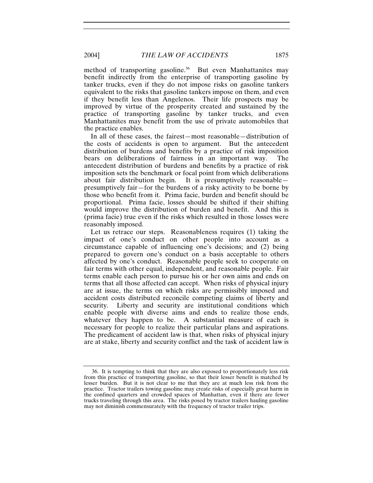method of transporting gasoline.<sup>36</sup> But even Manhattanites may benefit indirectly from the enterprise of transporting gasoline by tanker trucks, even if they do not impose risks on gasoline tankers equivalent to the risks that gasoline tankers impose on them, and even if they benefit less than Angelenos. Their life prospects may be improved by virtue of the prosperity created and sustained by the practice of transporting gasoline by tanker trucks, and even Manhattanites may benefit from the use of private automobiles that the practice enables.

In all of these cases, the fairest—most reasonable—distribution of the costs of accidents is open to argument. But the antecedent distribution of burdens and benefits by a practice of risk imposition bears on deliberations of fairness in an important way. The antecedent distribution of burdens and benefits by a practice of risk imposition sets the benchmark or focal point from which deliberations about fair distribution begin. It is presumptively reasonable presumptively fair—for the burdens of a risky activity to be borne by those who benefit from it. Prima facie, burden and benefit should be proportional. Prima facie, losses should be shifted if their shifting would improve the distribution of burden and benefit. And this is (prima facie) true even if the risks which resulted in those losses were reasonably imposed.

Let us retrace our steps. Reasonableness requires (1) taking the impact of one's conduct on other people into account as a circumstance capable of influencing one's decisions; and (2) being prepared to govern one's conduct on a basis acceptable to others affected by one's conduct. Reasonable people seek to cooperate on fair terms with other equal, independent, and reasonable people. Fair terms enable each person to pursue his or her own aims and ends on terms that all those affected can accept. When risks of physical injury are at issue, the terms on which risks are permissibly imposed and accident costs distributed reconcile competing claims of liberty and security. Liberty and security are institutional conditions which enable people with diverse aims and ends to realize those ends, whatever they happen to be. A substantial measure of each is necessary for people to realize their particular plans and aspirations. The predicament of accident law is that, when risks of physical injury are at stake, liberty and security conflict and the task of accident law is

 <sup>36.</sup> It is tempting to think that they are also exposed to proportionately less risk from this practice of transporting gasoline, so that their lesser benefit is matched by lesser burden. But it is not clear to me that they are at much less risk from the practice. Tractor trailers towing gasoline may create risks of especially great harm in the confined quarters and crowded spaces of Manhattan, even if there are fewer trucks traveling through this area. The risks posed by tractor trailers hauling gasoline may not diminish commensurately with the frequency of tractor trailer trips.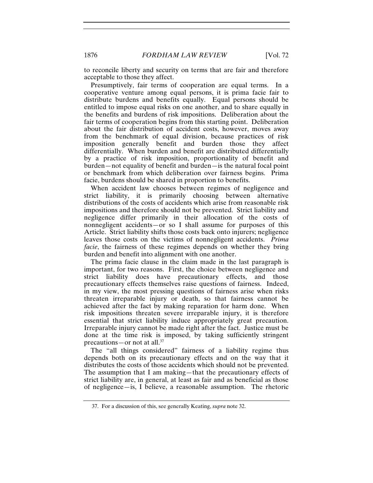1876 *FORDHAM LAW REVIEW* [Vol. 72

to reconcile liberty and security on terms that are fair and therefore acceptable to those they affect.

Presumptively, fair terms of cooperation are equal terms. In a cooperative venture among equal persons, it is prima facie fair to distribute burdens and benefits equally. Equal persons should be entitled to impose equal risks on one another, and to share equally in the benefits and burdens of risk impositions. Deliberation about the fair terms of cooperation begins from this starting point. Deliberation about the fair distribution of accident costs, however, moves away from the benchmark of equal division, because practices of risk imposition generally benefit and burden those they affect differentially. When burden and benefit are distributed differentially by a practice of risk imposition, proportionality of benefit and burden—not equality of benefit and burden—is the natural focal point or benchmark from which deliberation over fairness begins. Prima facie, burdens should be shared in proportion to benefits.

When accident law chooses between regimes of negligence and strict liability, it is primarily choosing between alternative distributions of the costs of accidents which arise from reasonable risk impositions and therefore should not be prevented. Strict liability and negligence differ primarily in their allocation of the costs of nonnegligent accidents—or so I shall assume for purposes of this Article. Strict liability shifts those costs back onto injurers; negligence leaves those costs on the victims of nonnegligent accidents. *Prima facie*, the fairness of these regimes depends on whether they bring burden and benefit into alignment with one another.

The prima facie clause in the claim made in the last paragraph is important, for two reasons. First, the choice between negligence and strict liability does have precautionary effects, and those precautionary effects themselves raise questions of fairness. Indeed, in my view, the most pressing questions of fairness arise when risks threaten irreparable injury or death, so that fairness cannot be achieved after the fact by making reparation for harm done. When risk impositions threaten severe irreparable injury, it is therefore essential that strict liability induce appropriately great precaution. Irreparable injury cannot be made right after the fact. Justice must be done at the time risk is imposed, by taking sufficiently stringent precautions—or not at all.37

The "all things considered" fairness of a liability regime thus depends both on its precautionary effects and on the way that it distributes the costs of those accidents which should not be prevented. The assumption that I am making—that the precautionary effects of strict liability are, in general, at least as fair and as beneficial as those of negligence—is, I believe, a reasonable assumption. The rhetoric

 <sup>37.</sup> For a discussion of this, see generally Keating, *supra* note 32.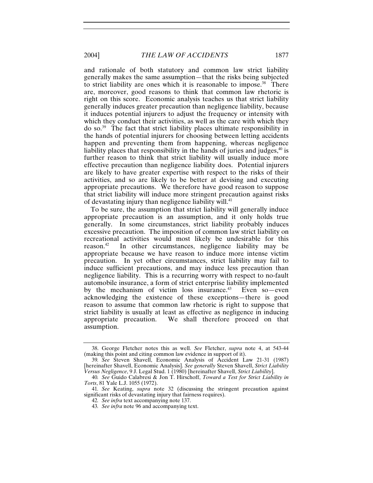2004] *THE LAW OF ACCIDENTS* 1877

and rationale of both statutory and common law strict liability generally makes the same assumption—that the risks being subjected to strict liability are ones which it is reasonable to impose.<sup>38</sup> There are, moreover, good reasons to think that common law rhetoric is right on this score. Economic analysis teaches us that strict liability generally induces greater precaution than negligence liability, because it induces potential injurers to adjust the frequency or intensity with which they conduct their activities, as well as the care with which they do so.39 The fact that strict liability places ultimate responsibility in the hands of potential injurers for choosing between letting accidents happen and preventing them from happening, whereas negligence liability places that responsibility in the hands of juries and judges, $40$  is further reason to think that strict liability will usually induce more effective precaution than negligence liability does. Potential injurers are likely to have greater expertise with respect to the risks of their activities, and so are likely to be better at devising and executing appropriate precautions. We therefore have good reason to suppose that strict liability will induce more stringent precaution against risks of devastating injury than negligence liability will.<sup>41</sup>

To be sure, the assumption that strict liability will generally induce appropriate precaution is an assumption, and it only holds true generally. In some circumstances, strict liability probably induces excessive precaution. The imposition of common law strict liability on recreational activities would most likely be undesirable for this reason.<sup>42</sup> In other circumstances, negligence liability may be In other circumstances, negligence liability may be appropriate because we have reason to induce more intense victim precaution. In yet other circumstances, strict liability may fail to induce sufficient precautions, and may induce less precaution than negligence liability. This is a recurring worry with respect to no-fault automobile insurance, a form of strict enterprise liability implemented by the mechanism of victim loss insurance.43 Even so—even acknowledging the existence of these exceptions—there is good reason to assume that common law rhetoric is right to suppose that strict liability is usually at least as effective as negligence in inducing appropriate precaution. We shall therefore proceed on that assumption.

 <sup>38.</sup> George Fletcher notes this as well. *See* Fletcher, *supra* note 4, at 543-44 (making this point and citing common law evidence in support of it).

<sup>39</sup>*. See* Steven Shavell, Economic Analysis of Accident Law 21-31 (1987) [hereinafter Shavell, Economic Analysis]. *See generally* Steven Shavell, *Strict Liability Versus Negligence*, 9 J. Legal Stud. 1 (1980) [hereinafter Shavell, *Strict Liability*].

<sup>40</sup>*. See* Guido Calabresi & Jon T. Hirschoff, *Toward a Test for Strict Liability in Torts*, 81 Yale L.J. 1055 (1972).

<sup>41</sup>*. See* Keating, *supra* note 32 (discussing the stringent precaution against significant risks of devastating injury that fairness requires).

<sup>42</sup>*. See infra* text accompanying note 137.

<sup>43</sup>*. See infra* note 96 and accompanying text.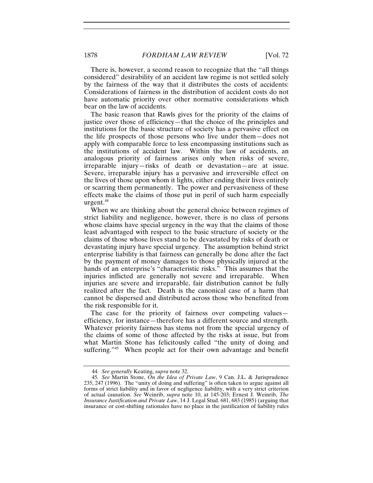There is, however, a second reason to recognize that the "all things considered" desirability of an accident law regime is not settled solely by the fairness of the way that it distributes the costs of accidents: Considerations of fairness in the distribution of accident costs do not have automatic priority over other normative considerations which bear on the law of accidents.

The basic reason that Rawls gives for the priority of the claims of justice over those of efficiency—that the choice of the principles and institutions for the basic structure of society has a pervasive effect on the life prospects of those persons who live under them—does not apply with comparable force to less encompassing institutions such as the institutions of accident law. Within the law of accidents, an analogous priority of fairness arises only when risks of severe, irreparable injury—risks of death or devastation—are at issue. Severe, irreparable injury has a pervasive and irreversible effect on the lives of those upon whom it lights, either ending their lives entirely or scarring them permanently. The power and pervasiveness of these effects make the claims of those put in peril of such harm especially urgent.44

When we are thinking about the general choice between regimes of strict liability and negligence, however, there is no class of persons whose claims have special urgency in the way that the claims of those least advantaged with respect to the basic structure of society or the claims of those whose lives stand to be devastated by risks of death or devastating injury have special urgency. The assumption behind strict enterprise liability is that fairness can generally be done after the fact by the payment of money damages to those physically injured at the hands of an enterprise's "characteristic risks." This assumes that the injuries inflicted are generally not severe and irreparable. When injuries are severe and irreparable, fair distribution cannot be fully realized after the fact. Death is the canonical case of a harm that cannot be dispersed and distributed across those who benefited from the risk responsible for it.

The case for the priority of fairness over competing values efficiency, for instance—therefore has a different source and strength. Whatever priority fairness has stems not from the special urgency of the claims of some of those affected by the risks at issue, but from what Martin Stone has felicitously called "the unity of doing and suffering."<sup>45</sup> When people act for their own advantage and benefit

<sup>44</sup>*. See generally* Keating, *supra* note 32.

<sup>45</sup>*. See* Martin Stone, *On the Idea of Private Law*, 9 Can. J.L. & Jurisprudence 235, 247 (1996). The "unity of doing and suffering" is often taken to argue against all forms of strict liability and in favor of negligence liability, with a very strict criterion of actual causation. *See* Weinrib, *supra* note 10, at 145-203; Ernest J. Weinrib, *The Insurance Justification and Private Law*, 14 J. Legal Stud. 681, 683 (1985) (arguing that insurance or cost-shifting rationales have no place in the justification of liability rules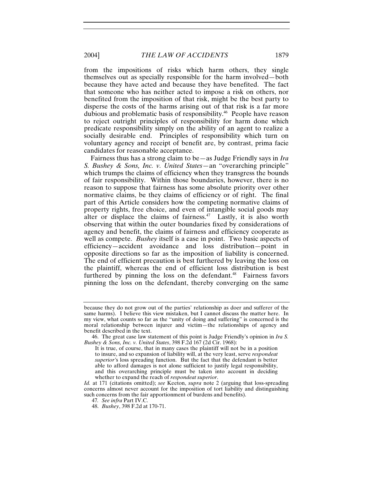2004] *THE LAW OF ACCIDENTS* 1879

from the impositions of risks which harm others, they single themselves out as specially responsible for the harm involved—both because they have acted and because they have benefited. The fact that someone who has neither acted to impose a risk on others, nor benefited from the imposition of that risk, might be the best party to disperse the costs of the harms arising out of that risk is a far more dubious and problematic basis of responsibility.46 People have reason to reject outright principles of responsibility for harm done which predicate responsibility simply on the ability of an agent to realize a socially desirable end. Principles of responsibility which turn on voluntary agency and receipt of benefit are, by contrast, prima facie candidates for reasonable acceptance.

Fairness thus has a strong claim to be—as Judge Friendly says in *Ira S. Bushey & Sons, Inc. v. United States*—an "overarching principle" which trumps the claims of efficiency when they transgress the bounds of fair responsibility. Within those boundaries, however, there is no reason to suppose that fairness has some absolute priority over other normative claims, be they claims of efficiency or of right. The final part of this Article considers how the competing normative claims of property rights, free choice, and even of intangible social goods may alter or displace the claims of fairness.<sup>47</sup> Lastly, it is also worth observing that within the outer boundaries fixed by considerations of agency and benefit, the claims of fairness and efficiency cooperate as well as compete. *Bushey* itself is a case in point. Two basic aspects of efficiency—accident avoidance and loss distribution—point in opposite directions so far as the imposition of liability is concerned. The end of efficient precaution is best furthered by leaving the loss on the plaintiff, whereas the end of efficient loss distribution is best furthered by pinning the loss on the defendant.<sup>48</sup> Fairness favors pinning the loss on the defendant, thereby converging on the same

because they do not grow out of the parties' relationship as doer and sufferer of the same harms). I believe this view mistaken, but I cannot discuss the matter here. In my view, what counts so far as the "unity of doing and suffering" is concerned is the moral relationship between injurer and victim—the relationships of agency and benefit described in the text.

 <sup>46.</sup> The great case law statement of this point is Judge Friendly's opinion in *Ira S. Bushey & Sons, Inc. v. United States*, 398 F.2d 167 (2d Cir. 1968):

It is true, of course, that in many cases the plaintiff will not be in a position to insure, and so expansion of liability will, at the very least, serve *respondeat superior'*s loss spreading function. But the fact that the defendant is better able to afford damages is not alone sufficient to justify legal responsibility, and this overarching principle must be taken into account in deciding whether to expand the reach of *respondeat superior*.

*Id.* at 171 (citations omitted); *see* Keeton, *supra* note 2 (arguing that loss-spreading concerns almost never account for the imposition of tort liability and distinguishing such concerns from the fair apportionment of burdens and benefits).

<sup>47</sup>*. See infra* Part IV.C.

 <sup>48.</sup> *Bushey*, 398 F.2d at 170-71.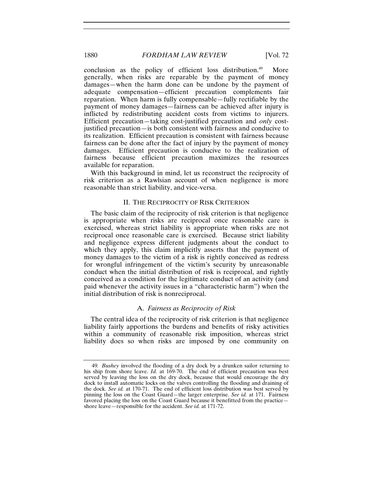conclusion as the policy of efficient loss distribution.<sup>49</sup> More generally, when risks are reparable by the payment of money damages—when the harm done can be undone by the payment of adequate compensation—efficient precaution complements fair reparation. When harm is fully compensable—fully rectifiable by the payment of money damages—fairness can be achieved after injury is inflicted by redistributing accident costs from victims to injurers. Efficient precaution—taking cost-justified precaution and *only* costjustified precaution—is both consistent with fairness and conducive to its realization. Efficient precaution is consistent with fairness because fairness can be done after the fact of injury by the payment of money damages. Efficient precaution is conducive to the realization of fairness because efficient precaution maximizes the resources available for reparation.

With this background in mind, let us reconstruct the reciprocity of risk criterion as a Rawlsian account of when negligence is more reasonable than strict liability, and vice-versa.

## II. THE RECIPROCITY OF RISK CRITERION

The basic claim of the reciprocity of risk criterion is that negligence is appropriate when risks are reciprocal once reasonable care is exercised, whereas strict liability is appropriate when risks are not reciprocal once reasonable care is exercised. Because strict liability and negligence express different judgments about the conduct to which they apply, this claim implicitly asserts that the payment of money damages to the victim of a risk is rightly conceived as redress for wrongful infringement of the victim's security by unreasonable conduct when the initial distribution of risk is reciprocal, and rightly conceived as a condition for the legitimate conduct of an activity (and paid whenever the activity issues in a "characteristic harm") when the initial distribution of risk is nonreciprocal.

## A. *Fairness as Reciprocity of Risk*

The central idea of the reciprocity of risk criterion is that negligence liability fairly apportions the burdens and benefits of risky activities within a community of reasonable risk imposition, whereas strict liability does so when risks are imposed by one community on

<sup>49</sup>*. Bushey* involved the flooding of a dry dock by a drunken sailor returning to his ship from shore leave. *Id.* at 169-70. The end of efficient precaution was best served by leaving the loss on the dry dock, because that would encourage the dry dock to install automatic locks on the valves controlling the flooding and draining of the dock. *See id.* at 170-71. The end of efficient loss distribution was best served by pinning the loss on the Coast Guard—the larger enterprise. *See id.* at 171. Fairness favored placing the loss on the Coast Guard because it benefitted from the practice shore leave—responsible for the accident. *See id.* at 171-72.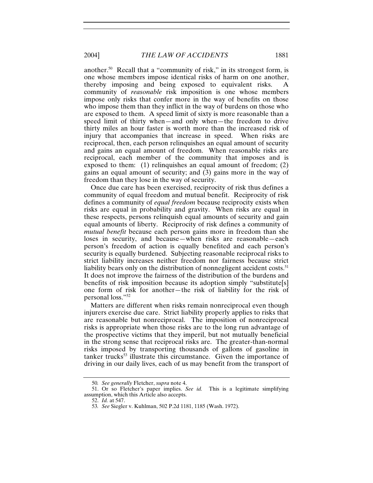another.50 Recall that a "community of risk," in its strongest form, is one whose members impose identical risks of harm on one another, thereby imposing and being exposed to equivalent risks. A community of *reasonable* risk imposition is one whose members impose only risks that confer more in the way of benefits on those who impose them than they inflict in the way of burdens on those who are exposed to them. A speed limit of sixty is more reasonable than a speed limit of thirty when—and only when—the freedom to drive thirty miles an hour faster is worth more than the increased risk of injury that accompanies that increase in speed. When risks are reciprocal, then, each person relinquishes an equal amount of security and gains an equal amount of freedom. When reasonable risks are reciprocal, each member of the community that imposes and is exposed to them: (1) relinquishes an equal amount of freedom; (2) gains an equal amount of security; and (3) gains more in the way of freedom than they lose in the way of security.

Once due care has been exercised, reciprocity of risk thus defines a community of equal freedom and mutual benefit. Reciprocity of risk defines a community of *equal freedom* because reciprocity exists when risks are equal in probability and gravity. When risks are equal in these respects, persons relinquish equal amounts of security and gain equal amounts of liberty. Reciprocity of risk defines a community of *mutual benefit* because each person gains more in freedom than she loses in security, and because—when risks are reasonable—each person's freedom of action is equally benefited and each person's security is equally burdened. Subjecting reasonable reciprocal risks to strict liability increases neither freedom nor fairness because strict liability bears only on the distribution of nonnegligent accident costs.<sup>51</sup> It does not improve the fairness of the distribution of the burdens and benefits of risk imposition because its adoption simply "substitute[s] one form of risk for another—the risk of liability for the risk of personal loss."52

Matters are different when risks remain nonreciprocal even though injurers exercise due care. Strict liability properly applies to risks that are reasonable but nonreciprocal. The imposition of nonreciprocal risks is appropriate when those risks are to the long run advantage of the prospective victims that they imperil, but not mutually beneficial in the strong sense that reciprocal risks are. The greater-than-normal risks imposed by transporting thousands of gallons of gasoline in  $t$ anker trucks<sup>53</sup> illustrate this circumstance. Given the importance of driving in our daily lives, each of us may benefit from the transport of

<sup>50</sup>*. See generally* Fletcher, *supra* note 4.

 <sup>51.</sup> Or so Fletcher's paper implies. *See id.* This is a legitimate simplifying assumption, which this Article also accepts.

 <sup>52.</sup> *Id.* at 547.

<sup>53</sup>*. See* Siegler v. Kuhlman, 502 P.2d 1181, 1185 (Wash. 1972).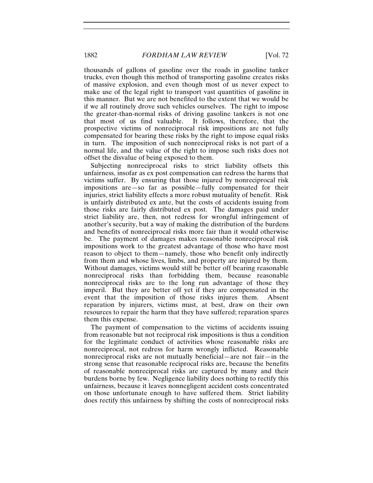thousands of gallons of gasoline over the roads in gasoline tanker trucks, even though this method of transporting gasoline creates risks of massive explosion, and even though most of us never expect to make use of the legal right to transport vast quantities of gasoline in this manner. But we are not benefited to the extent that we would be if we all routinely drove such vehicles ourselves. The right to impose the greater-than-normal risks of driving gasoline tankers is not one that most of us find valuable. It follows, therefore, that the prospective victims of nonreciprocal risk impositions are not fully compensated for bearing these risks by the right to impose equal risks in turn. The imposition of such nonreciprocal risks is not part of a normal life, and the value of the right to impose such risks does not offset the disvalue of being exposed to them.

Subjecting nonreciprocal risks to strict liability offsets this unfairness, insofar as ex post compensation can redress the harms that victims suffer. By ensuring that those injured by nonreciprocal risk impositions are—so far as possible—fully compensated for their injuries, strict liability effects a more robust mutuality of benefit. Risk is unfairly distributed ex ante, but the costs of accidents issuing from those risks are fairly distributed ex post. The damages paid under strict liability are, then, not redress for wrongful infringement of another's security, but a way of making the distribution of the burdens and benefits of nonreciprocal risks more fair than it would otherwise be. The payment of damages makes reasonable nonreciprocal risk impositions work to the greatest advantage of those who have most reason to object to them—namely, those who benefit only indirectly from them and whose lives, limbs, and property are injured by them. Without damages, victims would still be better off bearing reasonable nonreciprocal risks than forbidding them, because reasonable nonreciprocal risks are to the long run advantage of those they imperil. But they are better off yet if they are compensated in the event that the imposition of those risks injures them. Absent reparation by injurers, victims must, at best, draw on their own resources to repair the harm that they have suffered; reparation spares them this expense.

The payment of compensation to the victims of accidents issuing from reasonable but not reciprocal risk impositions is thus a condition for the legitimate conduct of activities whose reasonable risks are nonreciprocal, not redress for harm wrongly inflicted. Reasonable nonreciprocal risks are not mutually beneficial—are not fair—in the strong sense that reasonable reciprocal risks are, because the benefits of reasonable nonreciprocal risks are captured by many and their burdens borne by few. Negligence liability does nothing to rectify this unfairness, because it leaves nonnegligent accident costs concentrated on those unfortunate enough to have suffered them. Strict liability does rectify this unfairness by shifting the costs of nonreciprocal risks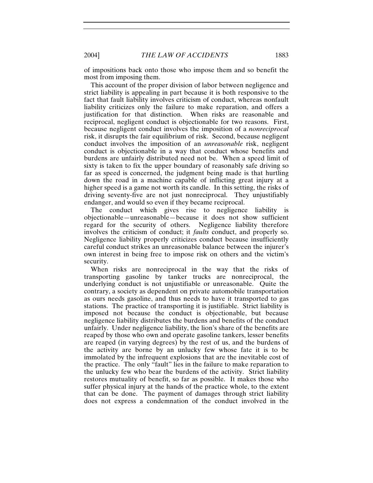2004] *THE LAW OF ACCIDENTS* 1883

of impositions back onto those who impose them and so benefit the most from imposing them.

This account of the proper division of labor between negligence and strict liability is appealing in part because it is both responsive to the fact that fault liability involves criticism of conduct, whereas nonfault liability criticizes only the failure to make reparation, and offers a justification for that distinction. When risks are reasonable and reciprocal, negligent conduct is objectionable for two reasons. First, because negligent conduct involves the imposition of a *nonreciprocal* risk, it disrupts the fair equilibrium of risk. Second, because negligent conduct involves the imposition of an *unreasonable* risk, negligent conduct is objectionable in a way that conduct whose benefits and burdens are unfairly distributed need not be. When a speed limit of sixty is taken to fix the upper boundary of reasonably safe driving so far as speed is concerned, the judgment being made is that hurtling down the road in a machine capable of inflicting great injury at a higher speed is a game not worth its candle. In this setting, the risks of driving seventy-five are not just nonreciprocal. They unjustifiably endanger, and would so even if they became reciprocal.

The conduct which gives rise to negligence liability is objectionable—unreasonable—because it does not show sufficient regard for the security of others. Negligence liability therefore involves the criticism of conduct; it *faults* conduct, and properly so. Negligence liability properly criticizes conduct because insufficiently careful conduct strikes an unreasonable balance between the injurer's own interest in being free to impose risk on others and the victim's security.

When risks are nonreciprocal in the way that the risks of transporting gasoline by tanker trucks are nonreciprocal, the underlying conduct is not unjustifiable or unreasonable. Quite the contrary, a society as dependent on private automobile transportation as ours needs gasoline, and thus needs to have it transported to gas stations. The practice of transporting it is justifiable. Strict liability is imposed not because the conduct is objectionable, but because negligence liability distributes the burdens and benefits of the conduct unfairly. Under negligence liability, the lion's share of the benefits are reaped by those who own and operate gasoline tankers, lesser benefits are reaped (in varying degrees) by the rest of us, and the burdens of the activity are borne by an unlucky few whose fate it is to be immolated by the infrequent explosions that are the inevitable cost of the practice. The only "fault" lies in the failure to make reparation to the unlucky few who bear the burdens of the activity. Strict liability restores mutuality of benefit, so far as possible. It makes those who suffer physical injury at the hands of the practice whole, to the extent that can be done. The payment of damages through strict liability does not express a condemnation of the conduct involved in the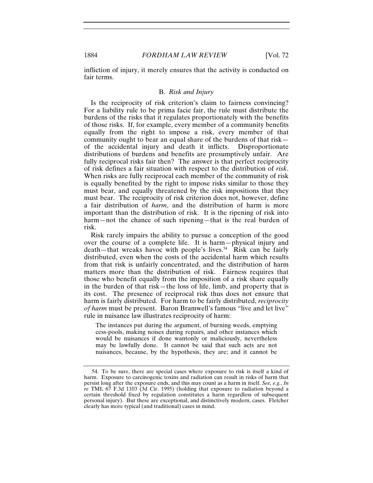infliction of injury, it merely ensures that the activity is conducted on fair terms.

## B. *Risk and Injury*

Is the reciprocity of risk criterion's claim to fairness convincing? For a liability rule to be prima facie fair, the rule must distribute the burdens of the risks that it regulates proportionately with the benefits of those risks. If, for example, every member of a community benefits equally from the right to impose a risk, every member of that community ought to bear an equal share of the burdens of that risk of the accidental injury and death it inflicts. Disproportionate distributions of burdens and benefits are presumptively unfair. Are fully reciprocal risks fair then? The answer is that perfect reciprocity of risk defines a fair situation with respect to the distribution of *risk*. When risks are fully reciprocal each member of the community of risk is equally benefited by the right to impose risks similar to those they must bear, and equally threatened by the risk impositions that they must bear. The reciprocity of risk criterion does not, however, define a fair distribution of *harm*, and the distribution of harm is more important than the distribution of risk. It is the ripening of risk into harm—not the chance of such ripening—that is the real burden of risk.

Risk rarely impairs the ability to pursue a conception of the good over the course of a complete life. It is harm—physical injury and death—that wreaks havoc with people's lives.<sup>54</sup> Risk can be fairly distributed, even when the costs of the accidental harm which results from that risk is unfairly concentrated, and the distribution of harm matters more than the distribution of risk. Fairness requires that those who benefit equally from the imposition of a risk share equally in the burden of that risk—the loss of life, limb, and property that is its cost. The presence of reciprocal risk thus does not ensure that harm is fairly distributed. For harm to be fairly distributed, *reciprocity of harm* must be present. Baron Bramwell's famous "live and let live" rule in nuisance law illustrates reciprocity of harm:

The instances put during the argument, of burning weeds, emptying cess-pools, making noises during repairs, and other instances which would be nuisances if done wantonly or maliciously, nevertheless may be lawfully done. It cannot be said that such acts are not nuisances, because, by the hypothesis, they are; and it cannot be

 <sup>54.</sup> To be sure, there are special cases where exposure to risk is itself a kind of harm. Exposure to carcinogenic toxins and radiation can result in risks of harm that persist long after the exposure ends, and this may count as a harm in itself. *See, e.g.*, *In re* TMI, 67 F.3d 1103 (3d Cir. 1995) (holding that exposure to radiation beyond a certain threshold fixed by regulation constitutes a harm regardless of subsequent personal injury). But these are exceptional, and distinctively modern, cases. Fletcher clearly has more typical (and traditional) cases in mind.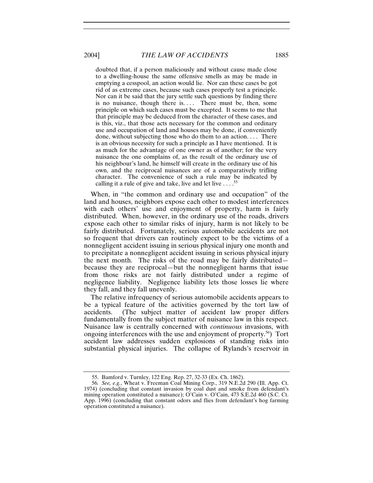doubted that, if a person maliciously and without cause made close to a dwelling-house the same offensive smells as may be made in emptying a cesspool, an action would lie. Nor can these cases be got rid of as extreme cases, because such cases properly test a principle. Nor can it be said that the jury settle such questions by finding there is no nuisance, though there is.... There must be, then, some principle on which such cases must be excepted. It seems to me that that principle may be deduced from the character of these cases, and is this, viz., that those acts necessary for the common and ordinary use and occupation of land and houses may be done, if conveniently done, without subjecting those who do them to an action. . . . There is an obvious necessity for such a principle as I have mentioned. It is as much for the advantage of one owner as of another; for the very nuisance the one complains of, as the result of the ordinary use of his neighbour's land, he himself will create in the ordinary use of his own, and the reciprocal nuisances are of a comparatively trifling character. The convenience of such a rule may be indicated by calling it a rule of give and take, live and let live  $\dots$ .<sup>55</sup>

When, in "the common and ordinary use and occupation" of the land and houses, neighbors expose each other to modest interferences with each others' use and enjoyment of property, harm is fairly distributed. When, however, in the ordinary use of the roads, drivers expose each other to similar risks of injury, harm is not likely to be fairly distributed. Fortunately, serious automobile accidents are not so frequent that drivers can routinely expect to be the victims of a nonnegligent accident issuing in serious physical injury one month and to precipitate a nonnegligent accident issuing in serious physical injury the next month. The risks of the road may be fairly distributed because they are reciprocal—but the nonnegligent harms that issue from those risks are not fairly distributed under a regime of negligence liability. Negligence liability lets those losses lie where they fall, and they fall unevenly.

The relative infrequency of serious automobile accidents appears to be a typical feature of the activities governed by the tort law of accidents. (The subject matter of accident law proper differs fundamentally from the subject matter of nuisance law in this respect. Nuisance law is centrally concerned with *continuous* invasions, with ongoing interferences with the use and enjoyment of property.56) Tort accident law addresses sudden explosions of standing risks into substantial physical injuries. The collapse of Rylands's reservoir in

 <sup>55.</sup> Bamford v. Turnley, 122 Eng. Rep. 27, 32-33 (Ex. Ch. 1862).

<sup>56</sup>*. See, e.g.*, Wheat v. Freeman Coal Mining Corp., 319 N.E.2d 290 (Ill. App. Ct. 1974) (concluding that constant invasion by coal dust and smoke from defendant's mining operation constituted a nuisance); O'Cain v. O'Cain, 473 S.E.2d 460 (S.C. Ct. App. 1996) (concluding that constant odors and flies from defendant's hog farming operation constituted a nuisance).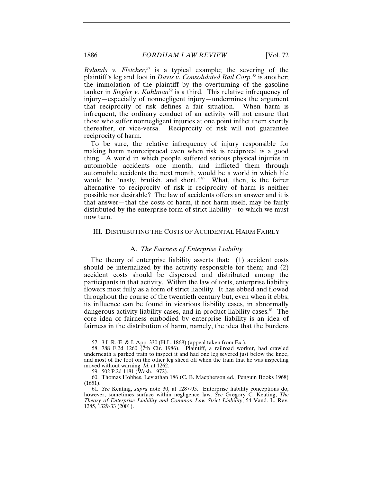*Rylands v. Fletcher*, 57 is a typical example; the severing of the plaintiff's leg and foot in *Davis v. Consolidated Rail Corp.*58 is another; the immolation of the plaintiff by the overturning of the gasoline tanker in *Siegler v. Kuhlman*<sup>59</sup> is a third. This relative infrequency of injury—especially of nonnegligent injury—undermines the argument that reciprocity of risk defines a fair situation. When harm is infrequent, the ordinary conduct of an activity will not ensure that those who suffer nonnegligent injuries at one point inflict them shortly thereafter, or vice-versa. Reciprocity of risk will not guarantee reciprocity of harm.

To be sure, the relative infrequency of injury responsible for making harm nonreciprocal even when risk is reciprocal is a good thing. A world in which people suffered serious physical injuries in automobile accidents one month, and inflicted them through automobile accidents the next month, would be a world in which life would be "nasty, brutish, and short."<sup>60</sup> What, then, is the fairer alternative to reciprocity of risk if reciprocity of harm is neither possible nor desirable? The law of accidents offers an answer and it is that answer—that the costs of harm, if not harm itself, may be fairly distributed by the enterprise form of strict liability—to which we must now turn.

#### III. DISTRIBUTING THE COSTS OF ACCIDENTAL HARM FAIRLY

#### A. *The Fairness of Enterprise Liability*

The theory of enterprise liability asserts that: (1) accident costs should be internalized by the activity responsible for them; and (2) accident costs should be dispersed and distributed among the participants in that activity. Within the law of torts, enterprise liability flowers most fully as a form of strict liability. It has ebbed and flowed throughout the course of the twentieth century but, even when it ebbs, its influence can be found in vicarious liability cases, in abnormally dangerous activity liability cases, and in product liability cases.<sup>61</sup> The core idea of fairness embodied by enterprise liability is an idea of fairness in the distribution of harm, namely, the idea that the burdens

 <sup>57. 3</sup> L.R.-E. & I. App. 330 (H.L. 1868) (appeal taken from Ex.).

 <sup>58. 788</sup> F.2d 1260 (7th Cir. 1986). Plaintiff, a railroad worker, had crawled underneath a parked train to inspect it and had one leg severed just below the knee, and most of the foot on the other leg sliced off when the train that he was inspecting moved without warning. *Id.* at 1262.

 <sup>59. 502</sup> P.2d 1181 (Wash. 1972).

 <sup>60.</sup> Thomas Hobbes, Leviathan 186 (C. B. Macpherson ed., Penguin Books 1968) (1651).

<sup>61</sup>*. See* Keating, *supra* note 30, at 1287-95. Enterprise liability conceptions do, however, sometimes surface within negligence law. *See* Gregory C. Keating, *The Theory of Enterprise Liability and Common Law Strict Liability*, 54 Vand. L. Rev. 1285, 1329-33 (2001).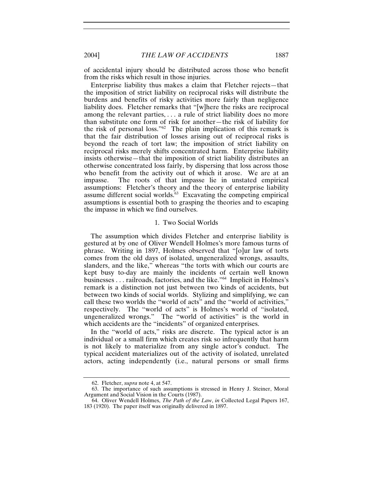2004] *THE LAW OF ACCIDENTS* 1887

of accidental injury should be distributed across those who benefit from the risks which result in those injuries.

Enterprise liability thus makes a claim that Fletcher rejects—that the imposition of strict liability on reciprocal risks will distribute the burdens and benefits of risky activities more fairly than negligence liability does. Fletcher remarks that "[w]here the risks are reciprocal among the relevant parties, . . . a rule of strict liability does no more than substitute one form of risk for another—the risk of liability for the risk of personal loss."62 The plain implication of this remark is that the fair distribution of losses arising out of reciprocal risks is beyond the reach of tort law; the imposition of strict liability on reciprocal risks merely shifts concentrated harm. Enterprise liability insists otherwise—that the imposition of strict liability distributes an otherwise concentrated loss fairly, by dispersing that loss across those who benefit from the activity out of which it arose. We are at an impasse. The roots of that impasse lie in unstated empirical assumptions: Fletcher's theory and the theory of enterprise liability assume different social worlds.63 Excavating the competing empirical assumptions is essential both to grasping the theories and to escaping the impasse in which we find ourselves.

## 1. Two Social Worlds

The assumption which divides Fletcher and enterprise liability is gestured at by one of Oliver Wendell Holmes's more famous turns of phrase. Writing in 1897, Holmes observed that "[o]ur law of torts comes from the old days of isolated, ungeneralized wrongs, assaults, slanders, and the like," whereas "the torts with which our courts are kept busy to-day are mainly the incidents of certain well known businesses . . . railroads, factories, and the like."64 Implicit in Holmes's remark is a distinction not just between two kinds of accidents, but between two kinds of social worlds. Stylizing and simplifying, we can call these two worlds the "world of acts" and the "world of activities," respectively. The "world of acts" is Holmes's world of "isolated, ungeneralized wrongs." The "world of activities" is the world in which accidents are the "incidents" of organized enterprises.

In the "world of acts," risks are discrete. The typical actor is an individual or a small firm which creates risk so infrequently that harm is not likely to materialize from any single actor's conduct. The typical accident materializes out of the activity of isolated, unrelated actors, acting independently (i.e., natural persons or small firms

 <sup>62.</sup> Fletcher, *supra* note 4, at 547.

 <sup>63.</sup> The importance of such assumptions is stressed in Henry J. Steiner, Moral Argument and Social Vision in the Courts (1987).

 <sup>64.</sup> Oliver Wendell Holmes, *The Path of the Law*, *in* Collected Legal Papers 167, 183 (1920). The paper itself was originally delivered in 1897.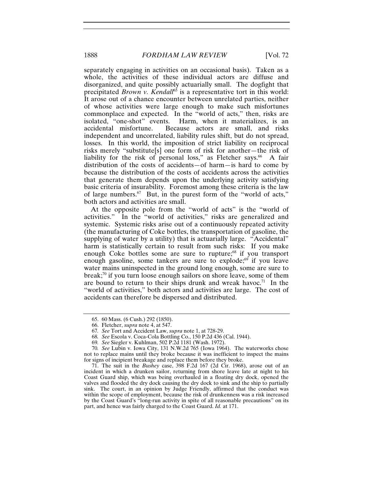1888 *FORDHAM LAW REVIEW* [Vol. 72]

separately engaging in activities on an occasional basis). Taken as a whole, the activities of these individual actors are diffuse and disorganized, and quite possibly actuarially small. The dogfight that precipitated *Brown v. Kendall<sup>65</sup>* is a representative tort in this world: It arose out of a chance encounter between unrelated parties, neither of whose activities were large enough to make such misfortunes commonplace and expected. In the "world of acts," then, risks are isolated, "one-shot" events. Harm, when it materializes, is an accidental misfortune. Because actors are small, and risks Because actors are small, and risks independent and uncorrelated, liability rules shift, but do not spread, losses. In this world, the imposition of strict liability on reciprocal risks merely "substitute[s] one form of risk for another—the risk of liability for the risk of personal loss," as Fletcher says.<sup>66</sup> A fair distribution of the costs of accidents—of harm—is hard to come by because the distribution of the costs of accidents across the activities that generate them depends upon the underlying activity satisfying basic criteria of insurability. Foremost among these criteria is the law of large numbers.<sup>67</sup> But, in the purest form of the "world of acts," both actors and activities are small.

At the opposite pole from the "world of acts" is the "world of activities." In the "world of activities," risks are generalized and systemic. Systemic risks arise out of a continuously repeated activity (the manufacturing of Coke bottles, the transportation of gasoline, the supplying of water by a utility) that is actuarially large. "Accidental" harm is statistically certain to result from such risks: If you make enough Coke bottles some are sure to rupture;<sup>68</sup> if you transport enough gasoline, some tankers are sure to explode; $69$  if you leave water mains uninspected in the ground long enough, some are sure to break;70 if you turn loose enough sailors on shore leave, some of them are bound to return to their ships drunk and wreak havoc.<sup>71</sup> In the "world of activities," both actors and activities are large. The cost of accidents can therefore be dispersed and distributed.

 <sup>65. 60</sup> Mass. (6 Cush.) 292 (1850).

 <sup>66.</sup> Fletcher, *supra* note 4, at 547.

<sup>67</sup>*. See* Tort and Accident Law, *supra* note 1, at 728-29.

<sup>68</sup>*. See* Escola v. Coca-Cola Bottling Co., 150 P.2d 436 (Cal. 1944).

<sup>69</sup>*. See* Siegler v. Kuhlman, 502 P.2d 1181 (Wash. 1972).

<sup>70</sup>*. See* Lubin v. Iowa City, 131 N.W.2d 765 (Iowa 1964). The waterworks chose not to replace mains until they broke because it was inefficient to inspect the mains for signs of incipient breakage and replace them before they broke.

 <sup>71.</sup> The suit in the *Bushey* case, 398 F.2d 167 (2d Cir. 1968), arose out of an incident in which a drunken sailor, returning from shore leave late at night to his Coast Guard ship, which was being overhauled in a floating dry dock, opened the valves and flooded the dry dock causing the dry dock to sink and the ship to partially sink. The court, in an opinion by Judge Friendly, affirmed that the conduct was within the scope of employment, because the risk of drunkenness was a risk increased by the Coast Guard's "long-run activity in spite of all reasonable precautions" on its part, and hence was fairly charged to the Coast Guard. *Id.* at 171.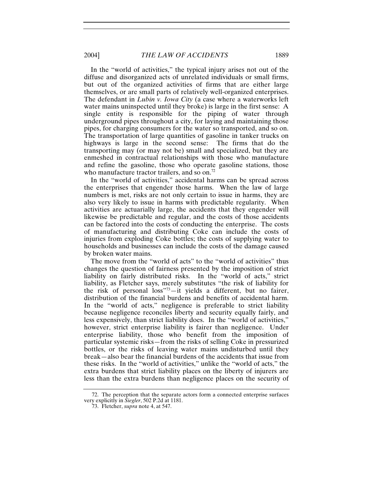In the "world of activities," the typical injury arises not out of the diffuse and disorganized acts of unrelated individuals or small firms, but out of the organized activities of firms that are either large themselves, or are small parts of relatively well-organized enterprises. The defendant in *Lubin v. Iowa City* (a case where a waterworks left water mains uninspected until they broke) is large in the first sense: A single entity is responsible for the piping of water through underground pipes throughout a city, for laying and maintaining those pipes, for charging consumers for the water so transported, and so on. The transportation of large quantities of gasoline in tanker trucks on highways is large in the second sense: The firms that do the transporting may (or may not be) small and specialized, but they are enmeshed in contractual relationships with those who manufacture and refine the gasoline, those who operate gasoline stations, those who manufacture tractor trailers, and so on.<sup>72</sup>

In the "world of activities," accidental harms can be spread across the enterprises that engender those harms. When the law of large numbers is met, risks are not only certain to issue in harms, they are also very likely to issue in harms with predictable regularity. When activities are actuarially large, the accidents that they engender will likewise be predictable and regular, and the costs of those accidents can be factored into the costs of conducting the enterprise. The costs of manufacturing and distributing Coke can include the costs of injuries from exploding Coke bottles; the costs of supplying water to households and businesses can include the costs of the damage caused by broken water mains.

The move from the "world of acts" to the "world of activities" thus changes the question of fairness presented by the imposition of strict liability on fairly distributed risks. In the "world of acts," strict liability, as Fletcher says, merely substitutes "the risk of liability for the risk of personal loss"<sup>73</sup> $-i$ t yields a different, but no fairer, distribution of the financial burdens and benefits of accidental harm. In the "world of acts," negligence is preferable to strict liability because negligence reconciles liberty and security equally fairly, and less expensively, than strict liability does. In the "world of activities," however, strict enterprise liability is fairer than negligence. Under enterprise liability, those who benefit from the imposition of particular systemic risks—from the risks of selling Coke in pressurized bottles, or the risks of leaving water mains undisturbed until they break—also bear the financial burdens of the accidents that issue from these risks. In the "world of activities," unlike the "world of acts," the extra burdens that strict liability places on the liberty of injurers are less than the extra burdens than negligence places on the security of

 <sup>72.</sup> The perception that the separate actors form a connected enterprise surfaces very explicitly in *Siegler*, 502 P.2d at 1181.

 <sup>73.</sup> Fletcher, *supra* note 4, at 547.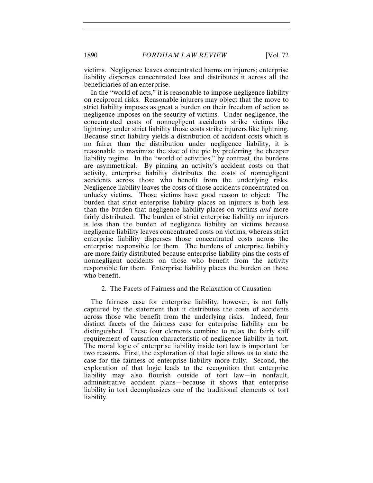victims. Negligence leaves concentrated harms on injurers; enterprise liability disperses concentrated loss and distributes it across all the beneficiaries of an enterprise.

In the "world of acts," it is reasonable to impose negligence liability on reciprocal risks. Reasonable injurers may object that the move to strict liability imposes as great a burden on their freedom of action as negligence imposes on the security of victims. Under negligence, the concentrated costs of nonnegligent accidents strike victims like lightning; under strict liability those costs strike injurers like lightning. Because strict liability yields a distribution of accident costs which is no fairer than the distribution under negligence liability, it is reasonable to maximize the size of the pie by preferring the cheaper liability regime. In the "world of activities," by contrast, the burdens are asymmetrical. By pinning an activity's accident costs on that activity, enterprise liability distributes the costs of nonnegligent accidents across those who benefit from the underlying risks. Negligence liability leaves the costs of those accidents concentrated on unlucky victims. Those victims have good reason to object: The burden that strict enterprise liability places on injurers is both less than the burden that negligence liability places on victims *and* more fairly distributed. The burden of strict enterprise liability on injurers is less than the burden of negligence liability on victims because negligence liability leaves concentrated costs on victims, whereas strict enterprise liability disperses those concentrated costs across the enterprise responsible for them. The burdens of enterprise liability are more fairly distributed because enterprise liability pins the costs of nonnegligent accidents on those who benefit from the activity responsible for them. Enterprise liability places the burden on those who benefit.

## 2. The Facets of Fairness and the Relaxation of Causation

The fairness case for enterprise liability, however, is not fully captured by the statement that it distributes the costs of accidents across those who benefit from the underlying risks. Indeed, four distinct facets of the fairness case for enterprise liability can be distinguished. These four elements combine to relax the fairly stiff requirement of causation characteristic of negligence liability in tort. The moral logic of enterprise liability inside tort law is important for two reasons. First, the exploration of that logic allows us to state the case for the fairness of enterprise liability more fully. Second, the exploration of that logic leads to the recognition that enterprise liability may also flourish outside of tort law—in nonfault, administrative accident plans—because it shows that enterprise liability in tort deemphasizes one of the traditional elements of tort liability.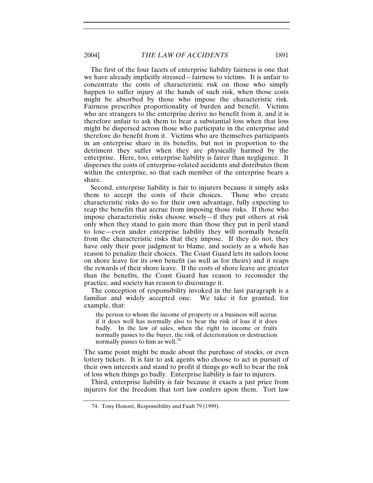The first of the four facets of enterprise liability fairness is one that we have already implicitly stressed—fairness to victims. It is unfair to concentrate the costs of characteristic risk on those who simply happen to suffer injury at the hands of such risk, when those costs might be absorbed by those who impose the characteristic risk. Fairness prescribes proportionality of burden and benefit. Victims who are strangers to the enterprise derive no benefit from it, and it is therefore unfair to ask them to bear a substantial loss when that loss might be dispersed across those who participate in the enterprise and therefore do benefit from it. Victims who are themselves participants in an enterprise share in its benefits, but not in proportion to the detriment they suffer when they are physically harmed by the enterprise. Here, too, enterprise liability is fairer than negligence. It disperses the costs of enterprise-related accidents and distributes them within the enterprise, so that each member of the enterprise bears a share.

Second, enterprise liability is fair to injurers because it simply asks them to accept the costs of their choices. Those who create characteristic risks do so for their own advantage, fully expecting to reap the benefits that accrue from imposing those risks. If those who impose characteristic risks choose wisely—if they put others at risk only when they stand to gain more than those they put in peril stand to lose—even under enterprise liability they will normally benefit from the characteristic risks that they impose. If they do not, they have only their poor judgment to blame, and society as a whole has reason to penalize their choices. The Coast Guard lets its sailors loose on shore leave for its own benefit (as well as for theirs) and it reaps the rewards of their shore leave. If the costs of shore leave are greater than the benefits, the Coast Guard has reason to reconsider the practice, and society has reason to discourage it.

The conception of responsibility invoked in the last paragraph is a familiar and widely accepted one. We take it for granted, for example, that:

the person to whom the income of property or a business will accrue if it does well has normally also to bear the risk of loss if it does badly. In the law of sales, when the right to income or fruits normally passes to the buyer, the risk of deterioration or destruction normally passes to him as well.<sup>74</sup>

The same point might be made about the purchase of stocks, or even lottery tickets. It is fair to ask agents who choose to act in pursuit of their own interests and stand to profit if things go well to bear the risk of loss when things go badly. Enterprise liability is fair to injurers.

Third, enterprise liability is fair because it exacts a just price from injurers for the freedom that tort law confers upon them. Tort law

 <sup>74.</sup> Tony Honoré, Responsibility and Fault 79 (1999).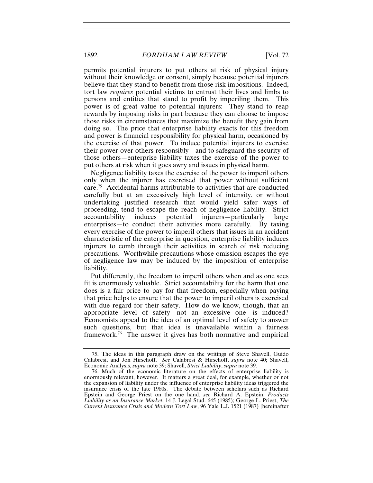permits potential injurers to put others at risk of physical injury without their knowledge or consent, simply because potential injurers believe that they stand to benefit from those risk impositions. Indeed, tort law *requires* potential victims to entrust their lives and limbs to persons and entities that stand to profit by imperiling them. This power is of great value to potential injurers: They stand to reap rewards by imposing risks in part because they can choose to impose those risks in circumstances that maximize the benefit they gain from doing so. The price that enterprise liability exacts for this freedom and power is financial responsibility for physical harm, occasioned by the exercise of that power. To induce potential injurers to exercise their power over others responsibly—and to safeguard the security of those others—enterprise liability taxes the exercise of the power to put others at risk when it goes awry and issues in physical harm.

Negligence liability taxes the exercise of the power to imperil others only when the injurer has exercised that power without sufficient care.75 Accidental harms attributable to activities that are conducted carefully but at an excessively high level of intensity, or without undertaking justified research that would yield safer ways of proceeding, tend to escape the reach of negligence liability. Strict accountability induces potential injurers—particularly large enterprises—to conduct their activities more carefully. By taxing every exercise of the power to imperil others that issues in an accident characteristic of the enterprise in question, enterprise liability induces injurers to comb through their activities in search of risk reducing precautions. Worthwhile precautions whose omission escapes the eye of negligence law may be induced by the imposition of enterprise liability.

Put differently, the freedom to imperil others when and as one sees fit is enormously valuable. Strict accountability for the harm that one does is a fair price to pay for that freedom, especially when paying that price helps to ensure that the power to imperil others is exercised with due regard for their safety. How do we know, though, that an appropriate level of safety—not an excessive one—is induced? Economists appeal to the idea of an optimal level of safety to answer such questions, but that idea is unavailable within a fairness framework.76 The answer it gives has both normative and empirical

 <sup>75.</sup> The ideas in this paragraph draw on the writings of Steve Shavell, Guido Calabresi, and Jon Hirschoff. *See* Calabresi & Hirschoff, *supra* note 40; Shavell, Economic Analysis, *supra* note 39; Shavell, *Strict Liability*, *supra* note 39.

 <sup>76.</sup> Much of the economic literature on the effects of enterprise liability is enormously relevant, however. It matters a great deal, for example, whether or not the expansion of liability under the influence of enterprise liability ideas triggered the insurance crisis of the late 1980s. The debate between scholars such as Richard Epstein and George Priest on the one hand, *see* Richard A. Epstein, *Products Liability as an Insurance Market*, 14 J. Legal Stud. 645 (1985); George L. Priest, *The Current Insurance Crisis and Modern Tort Law*, 96 Yale L.J. 1521 (1987) [hereinafter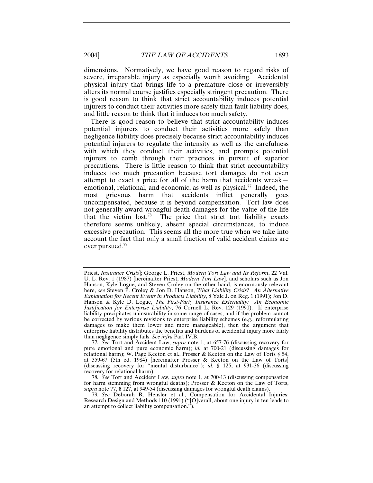2004] *THE LAW OF ACCIDENTS* 1893

dimensions. Normatively, we have good reason to regard risks of severe, irreparable injury as especially worth avoiding. Accidental physical injury that brings life to a premature close or irreversibly alters its normal course justifies especially stringent precaution. There is good reason to think that strict accountability induces potential injurers to conduct their activities more safely than fault liability does, and little reason to think that it induces too much safety.

There is good reason to believe that strict accountability induces potential injurers to conduct their activities more safely than negligence liability does precisely because strict accountability induces potential injurers to regulate the intensity as well as the carefulness with which they conduct their activities, and prompts potential injurers to comb through their practices in pursuit of superior precautions. There is little reason to think that strict accountability induces too much precaution because tort damages do not even attempt to exact a price for all of the harm that accidents wreak emotional, relational, and economic, as well as physical.<sup>77</sup> Indeed, the most grievous harm that accidents inflict generally goes uncompensated, because it is beyond compensation. Tort law does not generally award wrongful death damages for the value of the life that the victim lost.<sup>78</sup> The price that strict tort liability exacts therefore seems unlikely, absent special circumstances, to induce excessive precaution. This seems all the more true when we take into account the fact that only a small fraction of valid accident claims are ever pursued.<sup>79</sup>

Priest, *Insurance Crisis*]; George L. Priest, *Modern Tort Law and Its Reform*, 22 Val. U. L. Rev. 1 (1987) [hereinafter Priest, *Modern Tort Law*], and scholars such as Jon Hanson, Kyle Logue, and Steven Croley on the other hand, is enormously relevant here, *see* Steven P. Croley & Jon D. Hanson, *What Liability Crisis? An Alternative Explanation for Recent Events in Products Liability*, 8 Yale J. on Reg. 1 (1991); Jon D. Hanson & Kyle D. Logue, *The First-Party Insurance Externality: An Economic Justification for Enterprise Liability*, 76 Cornell L. Rev. 129 (1990). If enterprise liability precipitates uninsurability in some range of cases, and if the problem cannot be corrected by various revisions to enterprise liability schemes (e.g., reformulating damages to make them lower and more manageable), then the argument that enterprise liability distributes the benefits and burdens of accidental injury more fairly than negligence simply fails. *See infra* Part IV.B.

<sup>77</sup>*. See* Tort and Accident Law, *supra* note 1, at 657-76 (discussing recovery for pure emotional and pure economic harm); *id.* at 700-21 (discussing damages for relational harm); W. Page Keeton et al., Prosser & Keeton on the Law of Torts § 54, at 359-67 (5th ed. 1984) [hereinafter Prosser & Keeton on the Law of Torts] (discussing recovery for "mental disturbance"); *id.* § 125, at 931-36 (discussing recovery for relational harm).

<sup>78</sup>*. See* Tort and Accident Law, *supra* note 1, at 700-13 (discussing compensation for harm stemming from wrongful deaths); Prosser & Keeton on the Law of Torts, *supra* note 77, § 127, at 949-54 (discussing damages for wrongful death claims).

<sup>79</sup>*. See* Deborah R. Hensler et al., Compensation for Accidental Injuries: Research Design and Methods 110 (1991) ("[O]verall, about one injury in ten leads to an attempt to collect liability compensation.").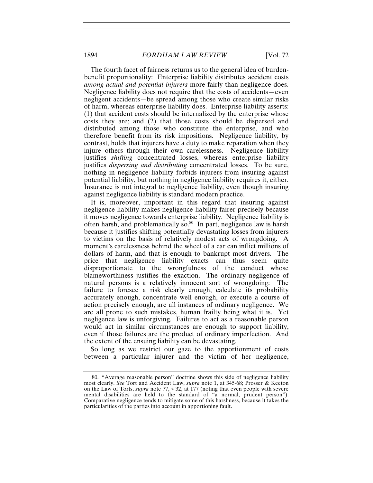The fourth facet of fairness returns us to the general idea of burdenbenefit proportionality: Enterprise liability distributes accident costs *among actual and potential injurers* more fairly than negligence does. Negligence liability does not require that the costs of accidents—even negligent accidents—be spread among those who create similar risks of harm, whereas enterprise liability does. Enterprise liability asserts: (1) that accident costs should be internalized by the enterprise whose costs they are; and (2) that those costs should be dispersed and distributed among those who constitute the enterprise, and who therefore benefit from its risk impositions. Negligence liability, by contrast, holds that injurers have a duty to make reparation when they injure others through their own carelessness. Negligence liability justifies *shifting* concentrated losses, whereas enterprise liability justifies *dispersing and distributing* concentrated losses. To be sure, nothing in negligence liability forbids injurers from insuring against potential liability, but nothing in negligence liability requires it, either. Insurance is not integral to negligence liability, even though insuring against negligence liability is standard modern practice.

It is, moreover, important in this regard that insuring against negligence liability makes negligence liability fairer precisely because it moves negligence towards enterprise liability. Negligence liability is often harsh, and problematically so. $80 \text{ In part}$ , negligence law is harsh because it justifies shifting potentially devastating losses from injurers to victims on the basis of relatively modest acts of wrongdoing. A moment's carelessness behind the wheel of a car can inflict millions of dollars of harm, and that is enough to bankrupt most drivers. The price that negligence liability exacts can thus seem quite disproportionate to the wrongfulness of the conduct whose blameworthiness justifies the exaction. The ordinary negligence of natural persons is a relatively innocent sort of wrongdoing: The failure to foresee a risk clearly enough, calculate its probability accurately enough, concentrate well enough, or execute a course of action precisely enough, are all instances of ordinary negligence. We are all prone to such mistakes, human frailty being what it is. Yet negligence law is unforgiving. Failures to act as a reasonable person would act in similar circumstances are enough to support liability, even if those failures are the product of ordinary imperfection. And the extent of the ensuing liability can be devastating.

So long as we restrict our gaze to the apportionment of costs between a particular injurer and the victim of her negligence,

 <sup>80. &</sup>quot;Average reasonable person" doctrine shows this side of negligence liability most clearly. *See* Tort and Accident Law, *supra* note 1, at 345-68; Prosser & Keeton on the Law of Torts, *supra* note 77, § 32, at 177 (noting that even people with severe mental disabilities are held to the standard of "a normal, prudent person"). Comparative negligence tends to mitigate some of this harshness, because it takes the particularities of the parties into account in apportioning fault.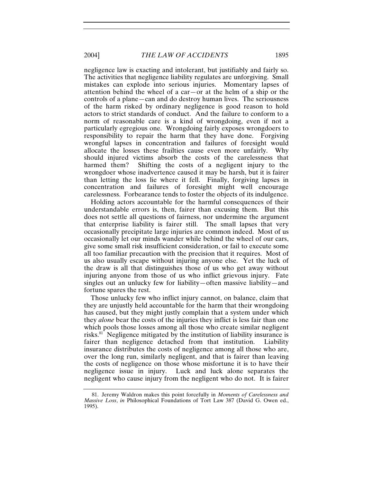negligence law is exacting and intolerant, but justifiably and fairly so. The activities that negligence liability regulates are unforgiving. Small mistakes can explode into serious injuries. Momentary lapses of attention behind the wheel of a car—or at the helm of a ship or the controls of a plane—can and do destroy human lives. The seriousness of the harm risked by ordinary negligence is good reason to hold actors to strict standards of conduct. And the failure to conform to a norm of reasonable care is a kind of wrongdoing, even if not a particularly egregious one. Wrongdoing fairly exposes wrongdoers to responsibility to repair the harm that they have done. Forgiving wrongful lapses in concentration and failures of foresight would allocate the losses these frailties cause even more unfairly. Why should injured victims absorb the costs of the carelessness that harmed them? Shifting the costs of a negligent injury to the wrongdoer whose inadvertence caused it may be harsh, but it is fairer than letting the loss lie where it fell. Finally, forgiving lapses in concentration and failures of foresight might well encourage carelessness. Forbearance tends to foster the objects of its indulgence.

Holding actors accountable for the harmful consequences of their understandable errors is, then, fairer than excusing them. But this does not settle all questions of fairness, nor undermine the argument that enterprise liability is fairer still. The small lapses that very occasionally precipitate large injuries are common indeed. Most of us occasionally let our minds wander while behind the wheel of our cars, give some small risk insufficient consideration, or fail to execute some all too familiar precaution with the precision that it requires. Most of us also usually escape without injuring anyone else. Yet the luck of the draw is all that distinguishes those of us who get away without injuring anyone from those of us who inflict grievous injury. Fate singles out an unlucky few for liability—often massive liability—and fortune spares the rest.

Those unlucky few who inflict injury cannot, on balance, claim that they are unjustly held accountable for the harm that their wrongdoing has caused, but they might justly complain that a system under which they *alone* bear the costs of the injuries they inflict is less fair than one which pools those losses among all those who create similar negligent risks. $81$  Negligence mitigated by the institution of liability insurance is fairer than negligence detached from that institution. Liability insurance distributes the costs of negligence among all those who are, over the long run, similarly negligent, and that is fairer than leaving the costs of negligence on those whose misfortune it is to have their negligence issue in injury. Luck and luck alone separates the negligent who cause injury from the negligent who do not. It is fairer

 <sup>81.</sup> Jeremy Waldron makes this point forcefully in *Moments of Carelessness and Massive Loss*, *in* Philosophical Foundations of Tort Law 387 (David G. Owen ed., 1995).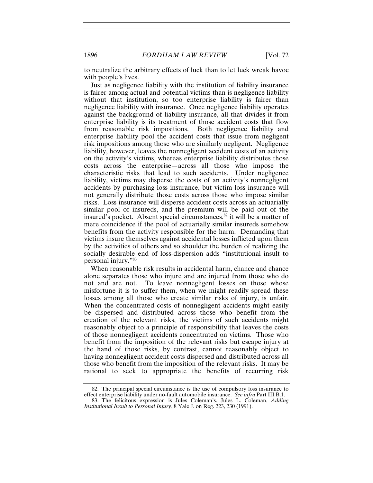to neutralize the arbitrary effects of luck than to let luck wreak havoc with people's lives.

Just as negligence liability with the institution of liability insurance is fairer among actual and potential victims than is negligence liability without that institution, so too enterprise liability is fairer than negligence liability with insurance. Once negligence liability operates against the background of liability insurance, all that divides it from enterprise liability is its treatment of those accident costs that flow from reasonable risk impositions. Both negligence liability and enterprise liability pool the accident costs that issue from negligent risk impositions among those who are similarly negligent. Negligence liability, however, leaves the nonnegligent accident costs of an activity on the activity's victims, whereas enterprise liability distributes those costs across the enterprise—across all those who impose the characteristic risks that lead to such accidents. Under negligence liability, victims may disperse the costs of an activity's nonnegligent accidents by purchasing loss insurance, but victim loss insurance will not generally distribute those costs across those who impose similar risks. Loss insurance will disperse accident costs across an actuarially similar pool of insureds, and the premium will be paid out of the insured's pocket. Absent special circumstances, $82$  it will be a matter of mere coincidence if the pool of actuarially similar insureds somehow benefits from the activity responsible for the harm. Demanding that victims insure themselves against accidental losses inflicted upon them by the activities of others and so shoulder the burden of realizing the socially desirable end of loss-dispersion adds "institutional insult to personal injury."83

When reasonable risk results in accidental harm, chance and chance alone separates those who injure and are injured from those who do not and are not. To leave nonnegligent losses on those whose misfortune it is to suffer them, when we might readily spread these losses among all those who create similar risks of injury, is unfair. When the concentrated costs of nonnegligent accidents might easily be dispersed and distributed across those who benefit from the creation of the relevant risks, the victims of such accidents might reasonably object to a principle of responsibility that leaves the costs of those nonnegligent accidents concentrated on victims. Those who benefit from the imposition of the relevant risks but escape injury at the hand of those risks, by contrast, cannot reasonably object to having nonnegligent accident costs dispersed and distributed across all those who benefit from the imposition of the relevant risks. It may be rational to seek to appropriate the benefits of recurring risk

 <sup>82.</sup> The principal special circumstance is the use of compulsory loss insurance to effect enterprise liability under no-fault automobile insurance. *See infra* Part III.B.1.

 <sup>83.</sup> The felicitous expression is Jules Coleman's. Jules L. Coleman, *Adding Institutional Insult to Personal Injury*, 8 Yale J. on Reg. 223, 230 (1991).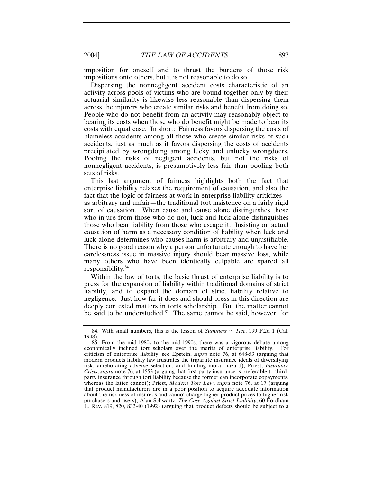2004] *THE LAW OF ACCIDENTS* 1897

imposition for oneself and to thrust the burdens of those risk impositions onto others, but it is not reasonable to do so.

Dispersing the nonnegligent accident costs characteristic of an activity across pools of victims who are bound together only by their actuarial similarity is likewise less reasonable than dispersing them across the injurers who create similar risks and benefit from doing so. People who do not benefit from an activity may reasonably object to bearing its costs when those who do benefit might be made to bear its costs with equal ease. In short: Fairness favors dispersing the costs of blameless accidents among all those who create similar risks of such accidents, just as much as it favors dispersing the costs of accidents precipitated by wrongdoing among lucky and unlucky wrongdoers. Pooling the risks of negligent accidents, but not the risks of nonnegligent accidents, is presumptively less fair than pooling both sets of risks.

This last argument of fairness highlights both the fact that enterprise liability relaxes the requirement of causation, and also the fact that the logic of fairness at work in enterprise liability criticizes as arbitrary and unfair—the traditional tort insistence on a fairly rigid sort of causation. When cause and cause alone distinguishes those who injure from those who do not, luck and luck alone distinguishes those who bear liability from those who escape it. Insisting on actual causation of harm as a necessary condition of liability when luck and luck alone determines who causes harm is arbitrary and unjustifiable. There is no good reason why a person unfortunate enough to have her carelessness issue in massive injury should bear massive loss, while many others who have been identically culpable are spared all responsibility.84

Within the law of torts, the basic thrust of enterprise liability is to press for the expansion of liability within traditional domains of strict liability, and to expand the domain of strict liability relative to negligence. Just how far it does and should press in this direction are deeply contested matters in torts scholarship. But the matter cannot be said to be understudied.<sup>85</sup> The same cannot be said, however, for

 <sup>84.</sup> With small numbers, this is the lesson of *Summers v. Tice*, 199 P.2d 1 (Cal. 1948).

 <sup>85.</sup> From the mid-1980s to the mid-1990s, there was a vigorous debate among economically inclined tort scholars over the merits of enterprise liability. For criticism of enterprise liability, see Epstein, *supra* note 76, at 648-53 (arguing that modern products liability law frustrates the tripartite insurance ideals of diversifying risk, ameliorating adverse selection, and limiting moral hazard); Priest, *Insurance Crisis*, *supra* note 76, at 1553 (arguing that first-party insurance is preferable to thirdparty insurance through tort liability because the former can incorporate copayments, whereas the latter cannot); Priest, *Modern Tort Law*, *supra* note 76, at 17 (arguing that product manufacturers are in a poor position to acquire adequate information about the riskiness of insureds and cannot charge higher product prices to higher risk purchasers and users); Alan Schwartz, *The Case Against Strict Liability*, 60 Fordham L. Rev. 819, 820, 832-40 (1992) (arguing that product defects should be subject to a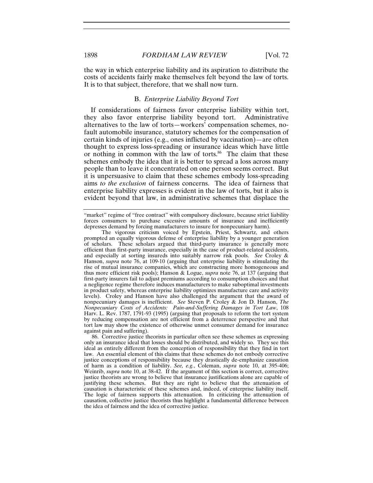the way in which enterprise liability and its aspiration to distribute the costs of accidents fairly make themselves felt beyond the law of torts. It is to that subject, therefore, that we shall now turn.

#### B. *Enterprise Liability Beyond Tort*

If considerations of fairness favor enterprise liability within tort, they also favor enterprise liability beyond tort. Administrative alternatives to the law of torts—workers' compensation schemes, nofault automobile insurance, statutory schemes for the compensation of certain kinds of injuries (e.g., ones inflicted by vaccination)—are often thought to express loss-spreading or insurance ideas which have little or nothing in common with the law of torts.<sup>86</sup> The claim that these schemes embody the idea that it is better to spread a loss across many people than to leave it concentrated on one person seems correct. But it is unpersuasive to claim that these schemes embody loss-spreading aims *to the exclusion* of fairness concerns. The idea of fairness that enterprise liability expresses is evident in the law of torts, but it also is evident beyond that law, in administrative schemes that displace the

<sup>&</sup>quot;market" regime of "free contract" with compulsory disclosure, because strict liability forces consumers to purchase excessive amounts of insurance and inefficiently depresses demand by forcing manufacturers to insure for nonpecuniary harm).

The vigorous criticism voiced by Epstein, Priest, Schwartz, and others prompted an equally vigorous defense of enterprise liability by a younger generation of scholars. These scholars argued that third-party insurance is generally more efficient than first-party insurance, especially in the case of product-related accidents, and especially at sorting insureds into suitably narrow risk pools. *See* Croley & Hanson, *supra* note 76, at 109-10 (arguing that enterprise liability is stimulating the rise of mutual insurance companies, which are constructing more homogeneous and thus more efficient risk pools); Hanson & Logue, *supra* note 76, at 137 (arguing that first-party insurers fail to adjust premiums according to consumption choices and that a negligence regime therefore induces manufacturers to make suboptimal investments in product safety, whereas enterprise liability optimizes manufacture care and activity levels). Croley and Hanson have also challenged the argument that the award of nonpecuniary damages is inefficient. *See* Steven P. Croley & Jon D. Hanson, *The Nonpecuniary Costs of Accidents: Pain-and-Suffering Damages in Tort Law*, 108 Harv. L. Rev. 1787, 1791-93 (1995) (arguing that proposals to reform the tort system by reducing compensation are not efficient from a deterrence perspective and that tort law may show the existence of otherwise unmet consumer demand for insurance against pain and suffering).

 <sup>86.</sup> Corrective justice theorists in particular often see these schemes as expressing only an insurance ideal that losses should be distributed, and widely so. They see this ideal as entirely different from the conception of responsibility that they find in tort law. An essential element of this claims that these schemes do not embody corrective justice conceptions of responsibility because they drastically de-emphasize causation of harm as a condition of liability. *See, e.g.*, Coleman, *supra* note 10, at 395-406; Weinrib, *supra* note 10, at 38-42. If the argument of this section is correct, corrective justice theorists are wrong to believe that insurance justifications alone are capable of justifying these schemes. But they are right to believe that the attenuation of causation is characteristic of these schemes and, indeed, of enterprise liability itself. The logic of fairness supports this attenuation. In criticizing the attenuation of causation, collective justice theorists thus highlight a fundamental difference between the idea of fairness and the idea of corrective justice.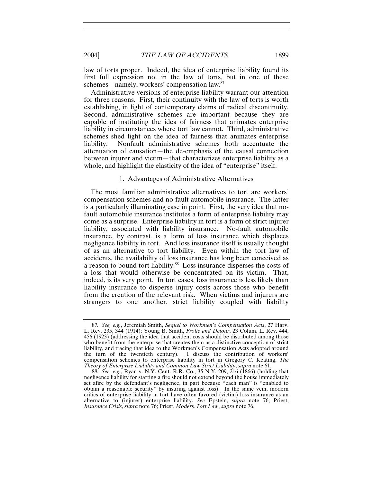2004] *THE LAW OF ACCIDENTS* 1899

law of torts proper. Indeed, the idea of enterprise liability found its first full expression not in the law of torts, but in one of these schemes—namely, workers' compensation law.87

Administrative versions of enterprise liability warrant our attention for three reasons. First, their continuity with the law of torts is worth establishing, in light of contemporary claims of radical discontinuity. Second, administrative schemes are important because they are capable of instituting the idea of fairness that animates enterprise liability in circumstances where tort law cannot. Third, administrative schemes shed light on the idea of fairness that animates enterprise liability. Nonfault administrative schemes both accentuate the attenuation of causation—the de-emphasis of the causal connection between injurer and victim—that characterizes enterprise liability as a whole, and highlight the elasticity of the idea of "enterprise" itself.

#### 1. Advantages of Administrative Alternatives

The most familiar administrative alternatives to tort are workers' compensation schemes and no-fault automobile insurance. The latter is a particularly illuminating case in point. First, the very idea that nofault automobile insurance institutes a form of enterprise liability may come as a surprise. Enterprise liability in tort is a form of strict injurer liability, associated with liability insurance. No-fault automobile insurance, by contrast, is a form of loss insurance which displaces negligence liability in tort. And loss insurance itself is usually thought of as an alternative to tort liability. Even within the tort law of accidents, the availability of loss insurance has long been conceived as a reason to bound tort liability.88 Loss insurance disperses the costs of a loss that would otherwise be concentrated on its victim. That, indeed, is its very point. In tort cases, loss insurance is less likely than liability insurance to disperse injury costs across those who benefit from the creation of the relevant risk. When victims and injurers are strangers to one another, strict liability coupled with liability

<sup>87</sup>*. See, e.g.*, Jeremiah Smith, *Sequel to Workmen's Compensation Acts*, 27 Harv. L. Rev. 235, 344 (1914); Young B. Smith, *Frolic and Detour*, 23 Colum. L. Rev. 444, 456 (1923) (addressing the idea that accident costs should be distributed among those who benefit from the enterprise that creates them as a distinctive conception of strict liability, and tracing that idea to the Workmen's Compensation Acts adopted around the turn of the twentieth century). I discuss the contribution of workers' compensation schemes to enterprise liability in tort in Gregory C. Keating, *The Theory of Enterprise Liability and Common Law Strict Liability*, *supra* note 61.

<sup>88</sup>*. See, e.g.*, Ryan v. N.Y. Cent. R.R. Co., 35 N.Y. 209, 216 (1866) (holding that negligence liability for starting a fire should not extend beyond the house immediately set afire by the defendant's negligence, in part because "each man" is "enabled to obtain a reasonable security" by insuring against loss). In the same vein, modern critics of enterprise liability in tort have often favored (victim) loss insurance as an alternative to (injurer) enterprise liability. *See* Epstein, *supra* note 76; Priest, *Insurance Crisis*, *supra* note 76; Priest, *Modern Tort Law*, *supra* note 76.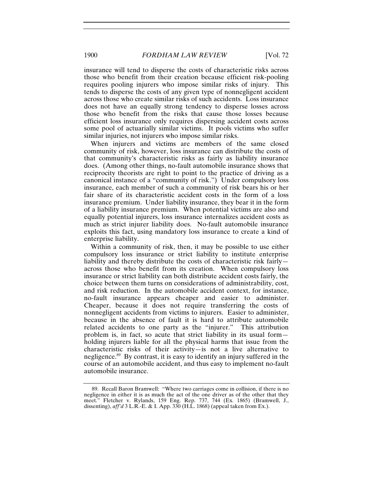1900 *FORDHAM LAW REVIEW* [Vol. 72

insurance will tend to disperse the costs of characteristic risks across those who benefit from their creation because efficient risk-pooling requires pooling injurers who impose similar risks of injury. This tends to disperse the costs of any given type of nonnegligent accident across those who create similar risks of such accidents. Loss insurance does not have an equally strong tendency to disperse losses across those who benefit from the risks that cause those losses because efficient loss insurance only requires dispersing accident costs across some pool of actuarially similar victims. It pools victims who suffer similar injuries, not injurers who impose similar risks.

When injurers and victims are members of the same closed community of risk, however, loss insurance can distribute the costs of that community's characteristic risks as fairly as liability insurance does. (Among other things, no-fault automobile insurance shows that reciprocity theorists are right to point to the practice of driving as a canonical instance of a "community of risk.") Under compulsory loss insurance, each member of such a community of risk bears his or her fair share of its characteristic accident costs in the form of a loss insurance premium. Under liability insurance, they bear it in the form of a liability insurance premium. When potential victims are also and equally potential injurers, loss insurance internalizes accident costs as much as strict injurer liability does. No-fault automobile insurance exploits this fact, using mandatory loss insurance to create a kind of enterprise liability.

Within a community of risk, then, it may be possible to use either compulsory loss insurance or strict liability to institute enterprise liability and thereby distribute the costs of characteristic risk fairly across those who benefit from its creation. When compulsory loss insurance or strict liability can both distribute accident costs fairly, the choice between them turns on considerations of administrability, cost, and risk reduction. In the automobile accident context, for instance, no-fault insurance appears cheaper and easier to administer. Cheaper, because it does not require transferring the costs of nonnegligent accidents from victims to injurers. Easier to administer, because in the absence of fault it is hard to attribute automobile related accidents to one party as the "injurer." This attribution problem is, in fact, so acute that strict liability in its usual form holding injurers liable for all the physical harms that issue from the characteristic risks of their activity—is not a live alternative to negligence.89 By contrast, it is easy to identify an injury suffered in the course of an automobile accident, and thus easy to implement no-fault automobile insurance.

 <sup>89.</sup> Recall Baron Bramwell: "Where two carriages come in collision, if there is no negligence in either it is as much the act of the one driver as of the other that they meet." Fletcher v. Rylands, 159 Eng. Rep. 737, 744 (Ex. 1865) (Bramwell, J., dissenting), *aff'd* 3 L.R.-E. & I. App. 330 (H.L. 1868) (appeal taken from Ex.).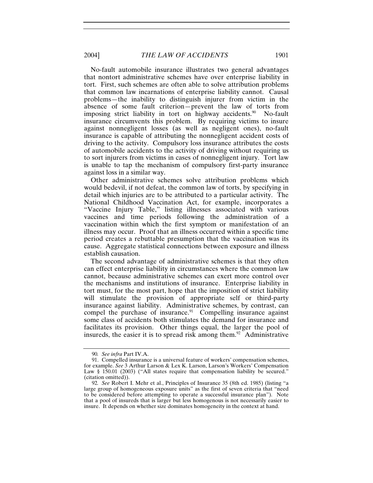No-fault automobile insurance illustrates two general advantages that nontort administrative schemes have over enterprise liability in tort. First, such schemes are often able to solve attribution problems that common law incarnations of enterprise liability cannot. Causal problems—the inability to distinguish injurer from victim in the absence of some fault criterion—prevent the law of torts from imposing strict liability in tort on highway accidents.<sup>90</sup> No-fault insurance circumvents this problem. By requiring victims to insure against nonnegligent losses (as well as negligent ones), no-fault insurance is capable of attributing the nonnegligent accident costs of driving to the activity. Compulsory loss insurance attributes the costs of automobile accidents to the activity of driving without requiring us to sort injurers from victims in cases of nonnegligent injury. Tort law is unable to tap the mechanism of compulsory first-party insurance against loss in a similar way.

Other administrative schemes solve attribution problems which would bedevil, if not defeat, the common law of torts, by specifying in detail which injuries are to be attributed to a particular activity. The National Childhood Vaccination Act, for example, incorporates a "Vaccine Injury Table," listing illnesses associated with various vaccines and time periods following the administration of a vaccination within which the first symptom or manifestation of an illness may occur. Proof that an illness occurred within a specific time period creates a rebuttable presumption that the vaccination was its cause. Aggregate statistical connections between exposure and illness establish causation.

The second advantage of administrative schemes is that they often can effect enterprise liability in circumstances where the common law cannot, because administrative schemes can exert more control over the mechanisms and institutions of insurance. Enterprise liability in tort must, for the most part, hope that the imposition of strict liability will stimulate the provision of appropriate self or third-party insurance against liability. Administrative schemes, by contrast, can compel the purchase of insurance. $91$  Compelling insurance against some class of accidents both stimulates the demand for insurance and facilitates its provision. Other things equal, the larger the pool of insureds, the easier it is to spread risk among them.<sup>92</sup> Administrative

<sup>90</sup>*. See infra* Part IV.A.

 <sup>91.</sup> Compelled insurance is a universal feature of workers' compensation schemes, for example. *See* 3 Arthur Larson & Lex K. Larson, Larson's Workers' Compensation Law § 150.01 (2003) ("All states require that compensation liability be secured." (citation omitted)).

<sup>92</sup>*. See* Robert I. Mehr et al., Principles of Insurance 35 (8th ed. 1985) (listing "a large group of homogeneous exposure units" as the first of seven criteria that "need to be considered before attempting to operate a successful insurance plan"). Note that a pool of insureds that is larger but less homogenous is not necessarily easier to insure. It depends on whether size dominates homogeneity in the context at hand.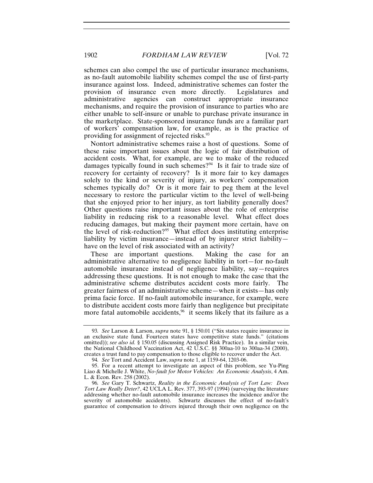schemes can also compel the use of particular insurance mechanisms, as no-fault automobile liability schemes compel the use of first-party insurance against loss. Indeed, administrative schemes can foster the provision of insurance even more directly. Legislatures and administrative agencies can construct appropriate insurance mechanisms, and require the provision of insurance to parties who are either unable to self-insure or unable to purchase private insurance in the marketplace. State-sponsored insurance funds are a familiar part of workers' compensation law, for example, as is the practice of providing for assignment of rejected risks.<sup>93</sup>

Nontort administrative schemes raise a host of questions. Some of these raise important issues about the logic of fair distribution of accident costs. What, for example, are we to make of the reduced damages typically found in such schemes?<sup>94</sup> Is it fair to trade size of recovery for certainty of recovery? Is it more fair to key damages solely to the kind or severity of injury, as workers' compensation schemes typically do? Or is it more fair to peg them at the level necessary to restore the particular victim to the level of well-being that she enjoyed prior to her injury, as tort liability generally does? Other questions raise important issues about the role of enterprise liability in reducing risk to a reasonable level. What effect does reducing damages, but making their payment more certain, have on the level of risk-reduction?95 What effect does instituting enterprise liability by victim insurance—instead of by injurer strict liability have on the level of risk associated with an activity?

These are important questions. Making the case for an administrative alternative to negligence liability in tort—for no-fault automobile insurance instead of negligence liability, say—requires addressing these questions. It is not enough to make the case that the administrative scheme distributes accident costs more fairly. The greater fairness of an administrative scheme—when it exists—has only prima facie force. If no-fault automobile insurance, for example, were to distribute accident costs more fairly than negligence but precipitate more fatal automobile accidents,<sup>96</sup> it seems likely that its failure as a

<sup>93</sup>*. See* Larson & Larson, *supra* note 91, § 150.01 ("Six states require insurance in an exclusive state fund. Fourteen states have competitive state funds." (citations omitted)); *see also id.* § 150.05 (discussing Assigned Risk Practice). In a similar vein, the National Childhood Vaccination Act, 42 U.S.C. §§ 300aa-10 to 300aa-34 (2000), creates a trust fund to pay compensation to those eligible to recover under the Act.

<sup>94</sup>*. See* Tort and Accident Law, *supra* note 1, at 1159-64, 1203-06.

 <sup>95.</sup> For a recent attempt to investigate an aspect of this problem, see Yu-Ping Liao & Michelle J. White, *No-fault for Motor Vehicles: An Economic Analysis*, 4 Am. L. & Econ. Rev. 258 (2002).

<sup>96</sup>*. See* Gary T. Schwartz, *Reality in the Economic Analysis of Tort Law: Does Tort Law Really Deter?*, 42 UCLA L. Rev. 377, 393-97 (1994) (surveying the literature addressing whether no-fault automobile insurance increases the incidence and/or the severity of automobile accidents). Schwartz discusses the effect of no-fault's guarantee of compensation to drivers injured through their own negligence on the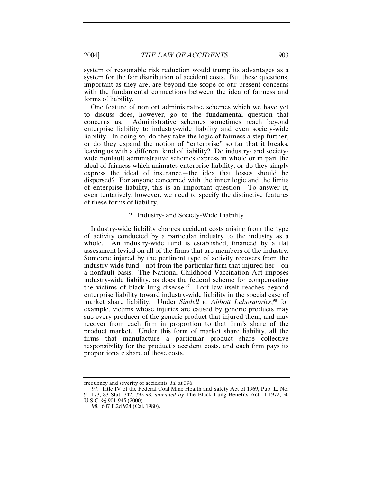system of reasonable risk reduction would trump its advantages as a system for the fair distribution of accident costs. But these questions, important as they are, are beyond the scope of our present concerns with the fundamental connections between the idea of fairness and forms of liability.

One feature of nontort administrative schemes which we have yet to discuss does, however, go to the fundamental question that concerns us. Administrative schemes sometimes reach beyond enterprise liability to industry-wide liability and even society-wide liability. In doing so, do they take the logic of fairness a step further, or do they expand the notion of "enterprise" so far that it breaks, leaving us with a different kind of liability? Do industry- and societywide nonfault administrative schemes express in whole or in part the ideal of fairness which animates enterprise liability, or do they simply express the ideal of insurance—the idea that losses should be dispersed? For anyone concerned with the inner logic and the limits of enterprise liability, this is an important question. To answer it, even tentatively, however, we need to specify the distinctive features of these forms of liability.

#### 2. Industry- and Society-Wide Liability

Industry-wide liability charges accident costs arising from the type of activity conducted by a particular industry to the industry as a whole. An industry-wide fund is established, financed by a flat assessment levied on all of the firms that are members of the industry. Someone injured by the pertinent type of activity recovers from the industry-wide fund—not from the particular firm that injured her—on a nonfault basis. The National Childhood Vaccination Act imposes industry-wide liability, as does the federal scheme for compensating the victims of black lung disease. $97$  Tort law itself reaches beyond enterprise liability toward industry-wide liability in the special case of market share liability. Under *Sindell v. Abbott Laboratories*, 98 for example, victims whose injuries are caused by generic products may sue every producer of the generic product that injured them, and may recover from each firm in proportion to that firm's share of the product market. Under this form of market share liability, all the firms that manufacture a particular product share collective responsibility for the product's accident costs, and each firm pays its proportionate share of those costs.

frequency and severity of accidents. *Id.* at 396.

 <sup>97.</sup> Title IV of the Federal Coal Mine Health and Safety Act of 1969, Pub. L. No. 91-173, 83 Stat. 742, 792-98, *amended by* The Black Lung Benefits Act of 1972, 30 U.S.C. §§ 901-945 (2000).

 <sup>98. 607</sup> P.2d 924 (Cal. 1980).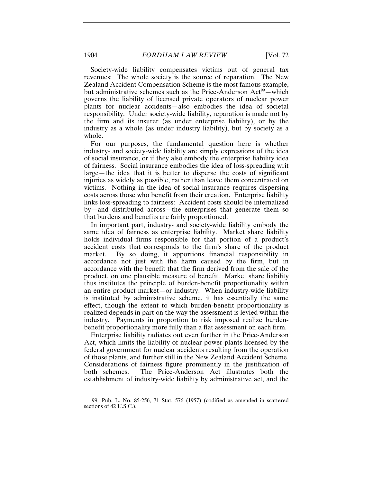Society-wide liability compensates victims out of general tax revenues: The whole society is the source of reparation. The New Zealand Accident Compensation Scheme is the most famous example, but administrative schemes such as the Price-Anderson Act<sup>99</sup>—which governs the liability of licensed private operators of nuclear power plants for nuclear accidents—also embodies the idea of societal responsibility. Under society-wide liability, reparation is made not by the firm and its insurer (as under enterprise liability), or by the industry as a whole (as under industry liability), but by society as a whole.

For our purposes, the fundamental question here is whether industry- and society-wide liability are simply expressions of the idea of social insurance, or if they also embody the enterprise liability idea of fairness. Social insurance embodies the idea of loss-spreading writ large—the idea that it is better to disperse the costs of significant injuries as widely as possible, rather than leave them concentrated on victims. Nothing in the idea of social insurance requires dispersing costs across those who benefit from their creation. Enterprise liability links loss-spreading to fairness: Accident costs should be internalized by—and distributed across—the enterprises that generate them so that burdens and benefits are fairly proportioned.

In important part, industry- and society-wide liability embody the same idea of fairness as enterprise liability. Market share liability holds individual firms responsible for that portion of a product's accident costs that corresponds to the firm's share of the product market. By so doing, it apportions financial responsibility in accordance not just with the harm caused by the firm, but in accordance with the benefit that the firm derived from the sale of the product, on one plausible measure of benefit. Market share liability thus institutes the principle of burden-benefit proportionality within an entire product market—or industry. When industry-wide liability is instituted by administrative scheme, it has essentially the same effect, though the extent to which burden-benefit proportionality is realized depends in part on the way the assessment is levied within the industry. Payments in proportion to risk imposed realize burdenbenefit proportionality more fully than a flat assessment on each firm.

Enterprise liability radiates out even further in the Price-Anderson Act, which limits the liability of nuclear power plants licensed by the federal government for nuclear accidents resulting from the operation of those plants, and further still in the New Zealand Accident Scheme. Considerations of fairness figure prominently in the justification of both schemes. The Price-Anderson Act illustrates both the establishment of industry-wide liability by administrative act, and the

 <sup>99.</sup> Pub. L. No. 85-256, 71 Stat. 576 (1957) (codified as amended in scattered sections of 42 U.S.C.).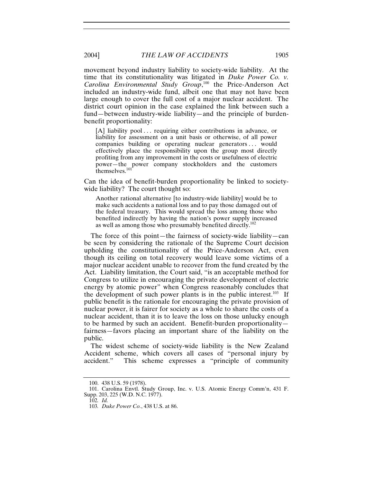movement beyond industry liability to society-wide liability. At the time that its constitutionality was litigated in *Duke Power Co. v. Carolina Environmental Study Group*, 100 the Price-Anderson Act included an industry-wide fund, albeit one that may not have been large enough to cover the full cost of a major nuclear accident. The district court opinion in the case explained the link between such a fund—between industry-wide liability—and the principle of burdenbenefit proportionality:

[A] liability pool . . . requiring either contributions in advance, or liability for assessment on a unit basis or otherwise, of all power companies building or operating nuclear generators . . . would effectively place the responsibility upon the group most directly profiting from any improvement in the costs or usefulness of electric power—the power company stockholders and the customers themselves.<sup>101</sup>

Can the idea of benefit-burden proportionality be linked to societywide liability? The court thought so:

Another rational alternative [to industry-wide liability] would be to make such accidents a national loss and to pay those damaged out of the federal treasury. This would spread the loss among those who benefited indirectly by having the nation's power supply increased as well as among those who presumably benefited directly.<sup>102</sup>

The force of this point—the fairness of society-wide liability—can be seen by considering the rationale of the Supreme Court decision upholding the constitutionality of the Price-Anderson Act, even though its ceiling on total recovery would leave some victims of a major nuclear accident unable to recover from the fund created by the Act. Liability limitation, the Court said, "is an acceptable method for Congress to utilize in encouraging the private development of electric energy by atomic power" when Congress reasonably concludes that the development of such power plants is in the public interest. $103$  If public benefit is the rationale for encouraging the private provision of nuclear power, it is fairer for society as a whole to share the costs of a nuclear accident, than it is to leave the loss on those unlucky enough to be harmed by such an accident. Benefit-burden proportionality fairness—favors placing an important share of the liability on the public.

The widest scheme of society-wide liability is the New Zealand Accident scheme, which covers all cases of "personal injury by accident." This scheme expresses a "principle of community

 <sup>100. 438</sup> U.S. 59 (1978).

 <sup>101.</sup> Carolina Envtl. Study Group, Inc. v. U.S. Atomic Energy Comm'n, 431 F. Supp. 203, 225 (W.D. N.C. 1977).

<sup>102</sup>*. Id.*

<sup>103</sup>*. Duke Power Co.*, 438 U.S. at 86.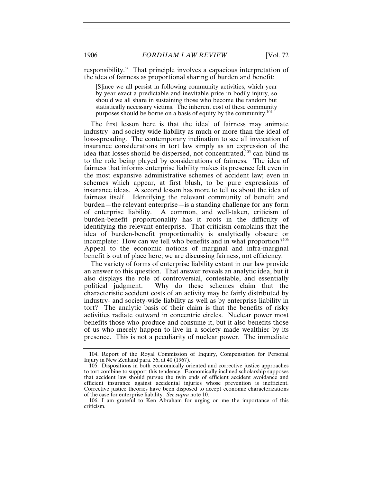responsibility." That principle involves a capacious interpretation of the idea of fairness as proportional sharing of burden and benefit:

[S]ince we all persist in following community activities, which year by year exact a predictable and inevitable price in bodily injury, so should we all share in sustaining those who become the random but statistically necessary victims. The inherent cost of these community purposes should be borne on a basis of equity by the community.104

 The first lesson here is that the ideal of fairness may animate industry- and society-wide liability as much or more than the ideal of loss-spreading. The contemporary inclination to see all invocation of insurance considerations in tort law simply as an expression of the idea that losses should be dispersed, not concentrated,<sup>105</sup> can blind us to the role being played by considerations of fairness. The idea of fairness that informs enterprise liability makes its presence felt even in the most expansive administrative schemes of accident law; even in schemes which appear, at first blush, to be pure expressions of insurance ideas. A second lesson has more to tell us about the idea of fairness itself. Identifying the relevant community of benefit and burden—the relevant enterprise—is a standing challenge for any form of enterprise liability. A common, and well-taken, criticism of burden-benefit proportionality has it roots in the difficulty of identifying the relevant enterprise. That criticism complains that the idea of burden-benefit proportionality is analytically obscure or incomplete: How can we tell who benefits and in what proportion?<sup>106</sup> Appeal to the economic notions of marginal and infra-marginal benefit is out of place here; we are discussing fairness, not efficiency.

The variety of forms of enterprise liability extant in our law provide an answer to this question. That answer reveals an analytic idea, but it also displays the role of controversial, contestable, and essentially political judgment. Why do these schemes claim that the characteristic accident costs of an activity may be fairly distributed by industry- and society-wide liability as well as by enterprise liability in tort? The analytic basis of their claim is that the benefits of risky activities radiate outward in concentric circles. Nuclear power most benefits those who produce and consume it, but it also benefits those of us who merely happen to live in a society made wealthier by its presence. This is not a peculiarity of nuclear power. The immediate

 <sup>104.</sup> Report of the Royal Commission of Inquiry, Compensation for Personal Injury in New Zealand para. 56, at 40 (1967).

 <sup>105.</sup> Dispositions in both economically oriented and corrective justice approaches to tort combine to support this tendency. Economically inclined scholarship supposes that accident law should pursue the twin ends of efficient accident avoidance and efficient insurance against accidental injuries whose prevention is inefficient. Corrective justice theories have been disposed to accept economic characterizations of the case for enterprise liability. *See supra* note 10.

 <sup>106.</sup> I am grateful to Ken Abraham for urging on me the importance of this criticism.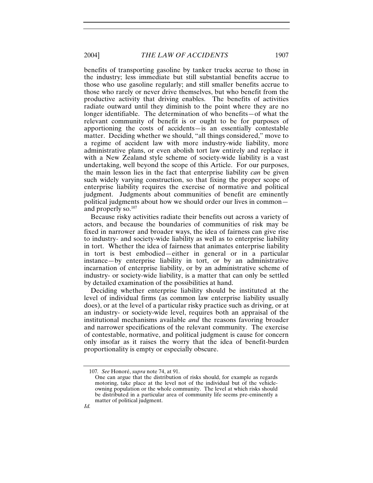2004] *THE LAW OF ACCIDENTS* 1907

benefits of transporting gasoline by tanker trucks accrue to those in the industry; less immediate but still substantial benefits accrue to those who use gasoline regularly; and still smaller benefits accrue to those who rarely or never drive themselves, but who benefit from the productive activity that driving enables. The benefits of activities radiate outward until they diminish to the point where they are no longer identifiable. The determination of who benefits—of what the relevant community of benefit is or ought to be for purposes of apportioning the costs of accidents—is an essentially contestable matter. Deciding whether we should, "all things considered," move to a regime of accident law with more industry-wide liability, more administrative plans, or even abolish tort law entirely and replace it with a New Zealand style scheme of society-wide liability is a vast undertaking, well beyond the scope of this Article. For our purposes, the main lesson lies in the fact that enterprise liability *can* be given such widely varying construction, so that fixing the proper scope of enterprise liability requires the exercise of normative and political judgment. Judgments about communities of benefit are eminently political judgments about how we should order our lives in common and properly so.<sup>107</sup>

Because risky activities radiate their benefits out across a variety of actors, and because the boundaries of communities of risk may be fixed in narrower and broader ways, the idea of fairness can give rise to industry- and society-wide liability as well as to enterprise liability in tort. Whether the idea of fairness that animates enterprise liability in tort is best embodied—either in general or in a particular instance—by enterprise liability in tort, or by an administrative incarnation of enterprise liability, or by an administrative scheme of industry- or society-wide liability, is a matter that can only be settled by detailed examination of the possibilities at hand.

Deciding whether enterprise liability should be instituted at the level of individual firms (as common law enterprise liability usually does), or at the level of a particular risky practice such as driving, or at an industry- or society-wide level, requires both an appraisal of the institutional mechanisms available *and* the reasons favoring broader and narrower specifications of the relevant community. The exercise of contestable, normative, and political judgment is cause for concern only insofar as it raises the worry that the idea of benefit-burden proportionality is empty or especially obscure.

<sup>107</sup>*. See* Honoré, *supra* note 74, at 91.

One can argue that the distribution of risks should, for example as regards motoring, take place at the level not of the individual but of the vehicleowning population or the whole community. The level at which risks should be distributed in a particular area of community life seems pre-eminently a matter of political judgment.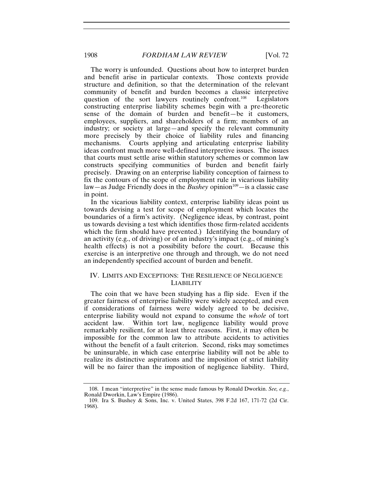The worry is unfounded. Questions about how to interpret burden and benefit arise in particular contexts. Those contexts provide structure and definition, so that the determination of the relevant community of benefit and burden becomes a classic interpretive question of the sort lawyers routinely confront.<sup>108</sup> Legislators constructing enterprise liability schemes begin with a pre-theoretic sense of the domain of burden and benefit—be it customers, employees, suppliers, and shareholders of a firm; members of an industry; or society at large—and specify the relevant community more precisely by their choice of liability rules and financing mechanisms. Courts applying and articulating enterprise liability ideas confront much more well-defined interpretive issues. The issues that courts must settle arise within statutory schemes or common law constructs specifying communities of burden and benefit fairly precisely. Drawing on an enterprise liability conception of fairness to fix the contours of the scope of employment rule in vicarious liability law—as Judge Friendly does in the *Bushey* opinion<sup>109</sup>—is a classic case in point.

In the vicarious liability context, enterprise liability ideas point us towards devising a test for scope of employment which locates the boundaries of a firm's activity. (Negligence ideas, by contrast, point us towards devising a test which identifies those firm-related accidents which the firm should have prevented.) Identifying the boundary of an activity (e.g., of driving) or of an industry's impact (e.g., of mining's health effects) is not a possibility before the court. Because this exercise is an interpretive one through and through, we do not need an independently specified account of burden and benefit.

## IV. LIMITS AND EXCEPTIONS: THE RESILIENCE OF NEGLIGENCE LIABILITY

The coin that we have been studying has a flip side. Even if the greater fairness of enterprise liability were widely accepted, and even if considerations of fairness were widely agreed to be decisive, enterprise liability would not expand to consume the *whole* of tort accident law. Within tort law, negligence liability would prove remarkably resilient, for at least three reasons. First, it may often be impossible for the common law to attribute accidents to activities without the benefit of a fault criterion. Second, risks may sometimes be uninsurable, in which case enterprise liability will not be able to realize its distinctive aspirations and the imposition of strict liability will be no fairer than the imposition of negligence liability. Third,

 <sup>108.</sup> I mean "interpretive" in the sense made famous by Ronald Dworkin. *See, e.g.*, Ronald Dworkin, Law's Empire (1986).

 <sup>109.</sup> Ira S. Bushey & Sons, Inc. v. United States, 398 F.2d 167, 171-72 (2d Cir. 1968).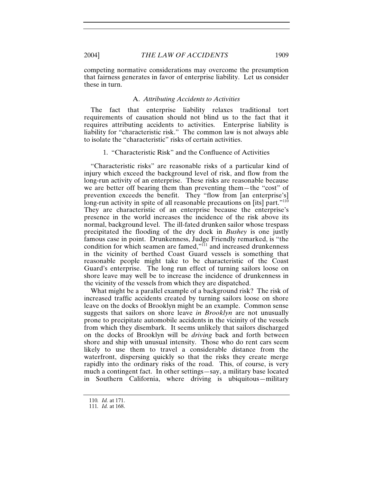competing normative considerations may overcome the presumption that fairness generates in favor of enterprise liability. Let us consider these in turn.

#### A. *Attributing Accidents to Activities*

The fact that enterprise liability relaxes traditional tort requirements of causation should not blind us to the fact that it requires attributing accidents to activities. Enterprise liability is liability for "characteristic risk." The common law is not always able to isolate the "characteristic" risks of certain activities.

## 1. "Characteristic Risk" and the Confluence of Activities

"Characteristic risks" are reasonable risks of a particular kind of injury which exceed the background level of risk, and flow from the long-run activity of an enterprise. These risks are reasonable because we are better off bearing them than preventing them—the "cost" of prevention exceeds the benefit. They "flow from [an enterprise's] long-run activity in spite of all reasonable precautions on [its] part."<sup>110</sup> They are characteristic of an enterprise because the enterprise's presence in the world increases the incidence of the risk above its normal, background level. The ill-fated drunken sailor whose trespass precipitated the flooding of the dry dock in *Bushey* is one justly famous case in point. Drunkenness, Judge Friendly remarked, is "the condition for which seamen are famed,"<sup>111</sup> and increased drunkenness in the vicinity of berthed Coast Guard vessels is something that reasonable people might take to be characteristic of the Coast Guard's enterprise. The long run effect of turning sailors loose on shore leave may well be to increase the incidence of drunkenness in the vicinity of the vessels from which they are dispatched.

What might be a parallel example of a background risk? The risk of increased traffic accidents created by turning sailors loose on shore leave on the docks of Brooklyn might be an example. Common sense suggests that sailors on shore leave *in Brooklyn* are not unusually prone to precipitate automobile accidents in the vicinity of the vessels from which they disembark. It seems unlikely that sailors discharged on the docks of Brooklyn will be *driving* back and forth between shore and ship with unusual intensity. Those who do rent cars seem likely to use them to travel a considerable distance from the waterfront, dispersing quickly so that the risks they create merge rapidly into the ordinary risks of the road. This, of course, is very much a contingent fact. In other settings—say, a military base located in Southern California, where driving is ubiquitous—military

<sup>110</sup>*. Id.* at 171.

<sup>111</sup>*. Id.* at 168.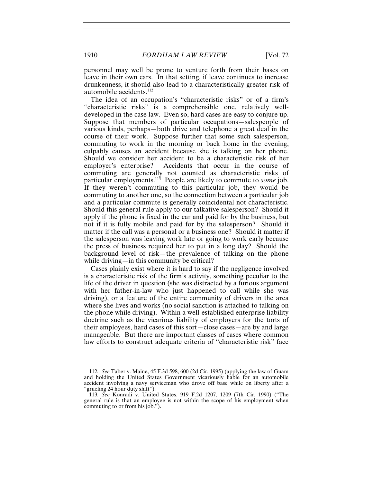personnel may well be prone to venture forth from their bases on leave in their own cars. In that setting, if leave continues to increase drunkenness, it should also lead to a characteristically greater risk of automobile accidents.112

The idea of an occupation's "characteristic risks" or of a firm's "characteristic risks" is a comprehensible one, relatively welldeveloped in the case law. Even so, hard cases are easy to conjure up. Suppose that members of particular occupations—salespeople of various kinds, perhaps—both drive and telephone a great deal in the course of their work. Suppose further that some such salesperson, commuting to work in the morning or back home in the evening, culpably causes an accident because she is talking on her phone. Should we consider her accident to be a characteristic risk of her employer's enterprise? Accidents that occur in the course of commuting are generally not counted as characteristic risks of particular employments.113 People are likely to commute to *some* job. If they weren't commuting to this particular job, they would be commuting to another one, so the connection between a particular job and a particular commute is generally coincidental not characteristic. Should this general rule apply to our talkative salesperson? Should it apply if the phone is fixed in the car and paid for by the business, but not if it is fully mobile and paid for by the salesperson? Should it matter if the call was a personal or a business one? Should it matter if the salesperson was leaving work late or going to work early because the press of business required her to put in a long day? Should the background level of risk—the prevalence of talking on the phone while driving—in this community be critical?

Cases plainly exist where it is hard to say if the negligence involved is a characteristic risk of the firm's activity, something peculiar to the life of the driver in question (she was distracted by a furious argument with her father-in-law who just happened to call while she was driving), or a feature of the entire community of drivers in the area where she lives and works (no social sanction is attached to talking on the phone while driving). Within a well-established enterprise liability doctrine such as the vicarious liability of employers for the torts of their employees, hard cases of this sort—close cases—are by and large manageable. But there are important classes of cases where common law efforts to construct adequate criteria of "characteristic risk" face

<sup>112</sup>*. See* Taber v. Maine, 45 F.3d 598, 600 (2d Cir. 1995) (applying the law of Guam and holding the United States Government vicariously liable for an automobile accident involving a navy serviceman who drove off base while on liberty after a "grueling 24 hour duty shift").

<sup>113</sup>*. See* Konradi v. United States, 919 F.2d 1207, 1209 (7th Cir. 1990) ("The general rule is that an employee is not within the scope of his employment when commuting to or from his job.").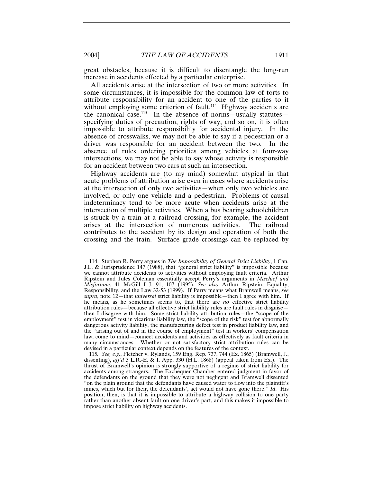great obstacles, because it is difficult to disentangle the long-run increase in accidents effected by a particular enterprise.

All accidents arise at the intersection of two or more activities. In some circumstances, it is impossible for the common law of torts to attribute responsibility for an accident to one of the parties to it without employing some criterion of fault.<sup>114</sup> Highway accidents are the canonical case.<sup>115</sup> In the absence of norms-usually statutesspecifying duties of precaution, rights of way, and so on, it is often impossible to attribute responsibility for accidental injury. In the absence of crosswalks, we may not be able to say if a pedestrian or a driver was responsible for an accident between the two. In the absence of rules ordering priorities among vehicles at four-way intersections, we may not be able to say whose activity is responsible for an accident between two cars at such an intersection.

Highway accidents are (to my mind) somewhat atypical in that acute problems of attribution arise even in cases where accidents arise at the intersection of only two activities—when only two vehicles are involved, or only one vehicle and a pedestrian. Problems of causal indeterminacy tend to be more acute when accidents arise at the intersection of multiple activities. When a bus bearing schoolchildren is struck by a train at a railroad crossing, for example, the accident arises at the intersection of numerous activities. The railroad contributes to the accident by its design and operation of both the crossing and the train. Surface grade crossings can be replaced by

 <sup>114.</sup> Stephen R. Perry argues in *The Impossibility of General Strict Liability*, 1 Can. J.L. & Jurisprudence 147 (1988), that "general strict liability" is impossible because we cannot attribute accidents to activities without employing fault criteria. Arthur Ripstein and Jules Coleman essentially accept Perry's arguments in *Mischief and Misfortune*, 41 McGill L.J. 91, 107 (1995). *See also* Arthur Ripstein, Equality, Responsibility, and the Law 32-53 (1999). If Perry means what Bramwell means, *see supra*, note 12—that *universal* strict liability is impossible—then I agree with him. If he means, as he sometimes seems to, that there are *no* effective strict liability attribution rules—because all effective strict liability rules are fault rules in disguise then I disagree with him. Some strict liability attribution rules—the "scope of the employment" test in vicarious liability law, the "scope of the risk" test for abnormally dangerous activity liability, the manufacturing defect test in product liability law, and the "arising out of and in the course of employment" test in workers' compensation law, come to mind—connect accidents and activities as effectively as fault criteria in many circumstances. Whether or not satisfactory strict attribution rules can be devised in a particular context depends on the features of the context.

<sup>115</sup>*. See, e.g.*, Fletcher v. Rylands, 159 Eng. Rep. 737, 744 (Ex. 1865) (Bramwell, J., dissenting), *aff'd* 3 L.R.-E. & I. App. 330 (H.L. 1868) (appeal taken from Ex.). The thrust of Bramwell's opinion is strongly supportive of a regime of strict liability for accidents among strangers. The Exchequer Chamber entered judgment in favor of the defendants on the ground that they were not negligent and Bramwell dissented "on the plain ground that the defendants have caused water to flow into the plaintiff's mines, which but for their, the defendants', act would not have gone there.<sup>5</sup> *Id*. His position, then, is that it is impossible to attribute a highway collision to one party rather than another absent fault on one driver's part, and this makes it impossible to impose strict liability on highway accidents.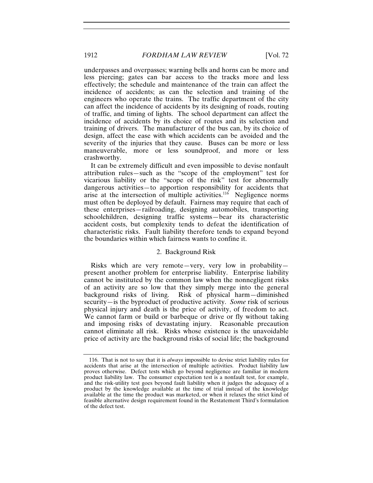1912 *FORDHAM LAW REVIEW* [Vol. 72]

underpasses and overpasses; warning bells and horns can be more and less piercing; gates can bar access to the tracks more and less effectively; the schedule and maintenance of the train can affect the incidence of accidents; as can the selection and training of the engineers who operate the trains. The traffic department of the city can affect the incidence of accidents by its designing of roads, routing of traffic, and timing of lights. The school department can affect the incidence of accidents by its choice of routes and its selection and training of drivers. The manufacturer of the bus can, by its choice of design, affect the ease with which accidents can be avoided and the severity of the injuries that they cause. Buses can be more or less maneuverable, more or less soundproof, and more or less crashworthy.

It can be extremely difficult and even impossible to devise nonfault attribution rules—such as the "scope of the employment" test for vicarious liability or the "scope of the risk" test for abnormally dangerous activities—to apportion responsibility for accidents that arise at the intersection of multiple activities.116 Negligence norms must often be deployed by default. Fairness may require that each of these enterprises—railroading, designing automobiles, transporting schoolchildren, designing traffic systems—bear its characteristic accident costs, but complexity tends to defeat the identification of characteristic risks. Fault liability therefore tends to expand beyond the boundaries within which fairness wants to confine it.

#### 2. Background Risk

Risks which are very remote—very, very low in probability present another problem for enterprise liability. Enterprise liability cannot be instituted by the common law when the nonnegligent risks of an activity are so low that they simply merge into the general background risks of living. Risk of physical harm—diminished security—is the byproduct of productive activity. *Some* risk of serious physical injury and death is the price of activity, of freedom to act. We cannot farm or build or barbeque or drive or fly without taking and imposing risks of devastating injury. Reasonable precaution cannot eliminate all risk. Risks whose existence is the unavoidable price of activity are the background risks of social life; the background

 <sup>116.</sup> That is not to say that it is *always* impossible to devise strict liability rules for accidents that arise at the intersection of multiple activities. Product liability law proves otherwise. Defect tests which go beyond negligence are familiar in modern product liability law. The consumer expectation test is a nonfault test, for example, and the risk-utility test goes beyond fault liability when it judges the adequacy of a product by the knowledge available at the time of trial instead of the knowledge available at the time the product was marketed, or when it relaxes the strict kind of feasible alternative design requirement found in the Restatement Third's formulation of the defect test.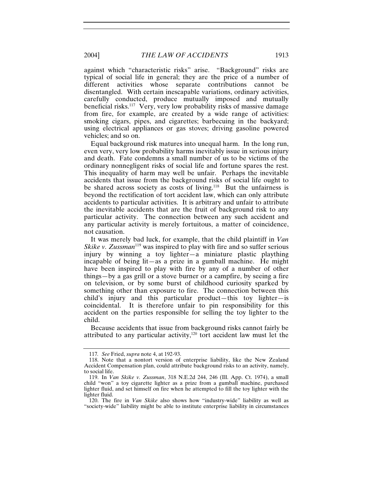against which "characteristic risks" arise. "Background" risks are typical of social life in general; they are the price of a number of different activities whose separate contributions cannot be disentangled. With certain inescapable variations, ordinary activities, carefully conducted, produce mutually imposed and mutually beneficial risks.<sup>117</sup> Very, very low probability risks of massive damage from fire, for example, are created by a wide range of activities: smoking cigars, pipes, and cigarettes; barbecuing in the backyard; using electrical appliances or gas stoves; driving gasoline powered vehicles; and so on.

Equal background risk matures into unequal harm. In the long run, even very, very low probability harms inevitably issue in serious injury and death. Fate condemns a small number of us to be victims of the ordinary nonnegligent risks of social life and fortune spares the rest. This inequality of harm may well be unfair. Perhaps the inevitable accidents that issue from the background risks of social life ought to be shared across society as costs of living.<sup>118</sup> But the unfairness is beyond the rectification of tort accident law, which can only attribute accidents to particular activities. It is arbitrary and unfair to attribute the inevitable accidents that are the fruit of background risk to any particular activity. The connection between any such accident and any particular activity is merely fortuitous, a matter of coincidence, not causation.

It was merely bad luck, for example, that the child plaintiff in *Van Skike v. Zussman*<sup>119</sup> was inspired to play with fire and so suffer serious injury by winning a toy lighter—a miniature plastic plaything incapable of being lit—as a prize in a gumball machine. He might have been inspired to play with fire by any of a number of other things—by a gas grill or a stove burner or a campfire, by seeing a fire on television, or by some burst of childhood curiosity sparked by something other than exposure to fire. The connection between this child's injury and this particular product—this toy lighter—is coincidental. It is therefore unfair to pin responsibility for this accident on the parties responsible for selling the toy lighter to the child.

Because accidents that issue from background risks cannot fairly be attributed to any particular activity, $120$  tort accident law must let the

<sup>117</sup>*. See* Fried, *supra* note 4, at 192-93.

 <sup>118.</sup> Note that a nontort version of enterprise liability, like the New Zealand Accident Compensation plan, could attribute background risks to an activity, namely, to social life.

 <sup>119.</sup> In *Van Skike v. Zussman*, 318 N.E.2d 244, 246 (Ill. App. Ct. 1974), a small child "won" a toy cigarette lighter as a prize from a gumball machine, purchased lighter fluid, and set himself on fire when he attempted to fill the toy lighter with the lighter fluid.

 <sup>120.</sup> The fire in *Van Skike* also shows how "industry-wide" liability as well as "society-wide" liability might be able to institute enterprise liability in circumstances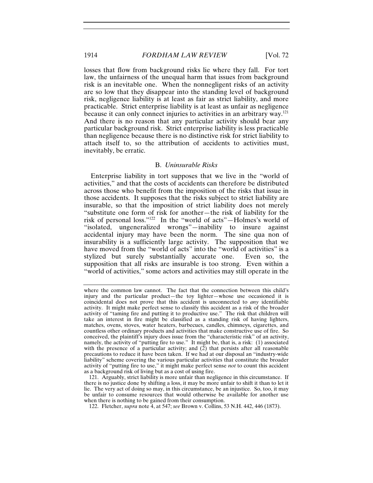losses that flow from background risks lie where they fall. For tort law, the unfairness of the unequal harm that issues from background risk is an inevitable one. When the nonnegligent risks of an activity are so low that they disappear into the standing level of background risk, negligence liability is at least as fair as strict liability, and more practicable. Strict enterprise liability is at least as unfair as negligence because it can only connect injuries to activities in an arbitrary way.<sup>121</sup> And there is no reason that any particular activity should bear any particular background risk. Strict enterprise liability is less practicable than negligence because there is no distinctive risk for strict liability to attach itself to, so the attribution of accidents to activities must, inevitably, be erratic.

#### B. *Uninsurable Risks*

Enterprise liability in tort supposes that we live in the "world of activities," and that the costs of accidents can therefore be distributed across those who benefit from the imposition of the risks that issue in those accidents. It supposes that the risks subject to strict liability are insurable, so that the imposition of strict liability does not merely "substitute one form of risk for another—the risk of liability for the risk of personal loss."122 In the "world of acts"—Holmes's world of "isolated, ungeneralized wrongs"—inability to insure against accidental injury may have been the norm. The sine qua non of insurability is a sufficiently large activity. The supposition that we have moved from the "world of acts" into the "world of activities" is a stylized but surely substantially accurate one. Even so, the supposition that all risks are insurable is too strong. Even within a "world of activities," some actors and activities may still operate in the

where the common law cannot. The fact that the connection between this child's injury and the particular product—the toy lighter—whose use occasioned it is coincidental does not prove that this accident is unconnected to *any* identifiable activity. It might make perfect sense to classify this accident as a risk of the broader activity of "taming fire and putting it to productive use." The risk that children will take an interest in fire might be classified as a standing risk of having lighters, matches, ovens, stoves, water heaters, barbecues, candles, chimneys, cigarettes, and countless other ordinary products and activities that make constructive use of fire. So conceived, the plaintiff's injury does issue from the "characteristic risk" of an activity, namely, the activity of "putting fire to use." It might be, that is, a risk: (1) associated with the presence of a particular activity; and (2) that persists after all reasonable precautions to reduce it have been taken. If we had at our disposal an "industry-wide liability" scheme covering the various particular activities that constitute the broader activity of "putting fire to use," it might make perfect sense *not* to count this accident as a background risk of living but as a cost of using fire.

 <sup>121.</sup> Arguably, strict liability is more unfair than negligence in this circumstance. If there is no justice done by shifting a loss, it may be more unfair to shift it than to let it lie. The very act of doing so may, in this circumstance, be an injustice. So, too, it may be unfair to consume resources that would otherwise be available for another use when there is nothing to be gained from their consumption.

 <sup>122.</sup> Fletcher, *supra* note 4, at 547; *see* Brown v. Collins, 53 N.H. 442, 446 (1873).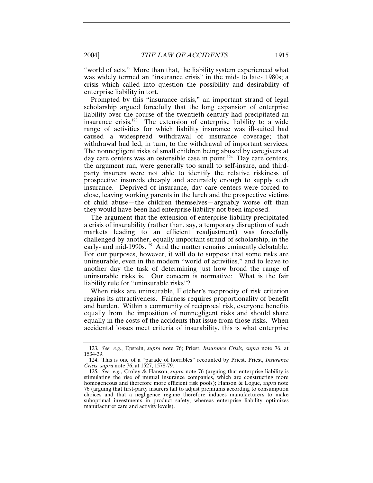"world of acts." More than that, the liability system experienced what was widely termed an "insurance crisis" in the mid- to late- 1980s; a crisis which called into question the possibility and desirability of enterprise liability in tort.

Prompted by this "insurance crisis," an important strand of legal scholarship argued forcefully that the long expansion of enterprise liability over the course of the twentieth century had precipitated an insurance crisis.123 The extension of enterprise liability to a wide range of activities for which liability insurance was ill-suited had caused a widespread withdrawal of insurance coverage; that withdrawal had led, in turn, to the withdrawal of important services. The nonnegligent risks of small children being abused by caregivers at day care centers was an ostensible case in point.<sup>124</sup> Day care centers, the argument ran, were generally too small to self-insure, and thirdparty insurers were not able to identify the relative riskiness of prospective insureds cheaply and accurately enough to supply such insurance. Deprived of insurance, day care centers were forced to close, leaving working parents in the lurch and the prospective victims of child abuse—the children themselves—arguably worse off than they would have been had enterprise liability not been imposed.

The argument that the extension of enterprise liability precipitated a crisis of insurability (rather than, say, a temporary disruption of such markets leading to an efficient readjustment) was forcefully challenged by another, equally important strand of scholarship, in the early- and mid-1990s.<sup>125</sup> And the matter remains eminently debatable. For our purposes, however, it will do to suppose that some risks are uninsurable, even in the modern "world of activities," and to leave to another day the task of determining just how broad the range of uninsurable risks is. Our concern is normative: What is the fair liability rule for "uninsurable risks"?

When risks are uninsurable, Fletcher's reciprocity of risk criterion regains its attractiveness. Fairness requires proportionality of benefit and burden. Within a community of reciprocal risk, everyone benefits equally from the imposition of nonnegligent risks and should share equally in the costs of the accidents that issue from those risks. When accidental losses meet criteria of insurability, this is what enterprise

<sup>123</sup>*. See, e.g.*, Epstein, *supra* note 76; Priest, *Insurance Crisis, supra* note 76, at 1534-39.

 <sup>124.</sup> This is one of a "parade of horribles" recounted by Priest. Priest, *Insurance Crisis, supra* note 76, at 1527, 1578-79.

<sup>125</sup>*. See, e.g.*, Croley & Hanson, *supra* note 76 (arguing that enterprise liability is stimulating the rise of mutual insurance companies, which are constructing more homogeneous and therefore more efficient risk pools); Hanson & Logue, *supra* note 76 (arguing that first-party insurers fail to adjust premiums according to consumption choices and that a negligence regime therefore induces manufacturers to make suboptimal investments in product safety, whereas enterprise liability optimizes manufacturer care and activity levels).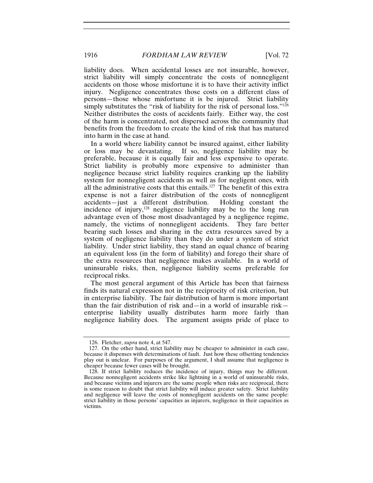liability does. When accidental losses are not insurable, however, strict liability will simply concentrate the costs of nonnegligent accidents on those whose misfortune it is to have their activity inflict injury. Negligence concentrates those costs on a different class of persons—those whose misfortune it is be injured. Strict liability simply substitutes the "risk of liability for the risk of personal loss."<sup>126</sup> Neither distributes the costs of accidents fairly. Either way, the cost of the harm is concentrated, not dispersed across the community that benefits from the freedom to create the kind of risk that has matured into harm in the case at hand.

In a world where liability cannot be insured against, either liability or loss may be devastating. If so, negligence liability may be preferable, because it is equally fair and less expensive to operate. Strict liability is probably more expensive to administer than negligence because strict liability requires cranking up the liability system for nonnegligent accidents as well as for negligent ones, with all the administrative costs that this entails.127 The benefit of this extra expense is not a fairer distribution of the costs of nonnegligent accidents—just a different distribution. Holding constant the incidence of injury,128 negligence liability may be to the long run advantage even of those most disadvantaged by a negligence regime, namely, the victims of nonnegligent accidents. They fare better bearing such losses and sharing in the extra resources saved by a system of negligence liability than they do under a system of strict liability. Under strict liability, they stand an equal chance of bearing an equivalent loss (in the form of liability) and forego their share of the extra resources that negligence makes available. In a world of uninsurable risks, then, negligence liability seems preferable for reciprocal risks.

The most general argument of this Article has been that fairness finds its natural expression not in the reciprocity of risk criterion, but in enterprise liability. The fair distribution of harm is more important than the fair distribution of risk and—in a world of insurable risk enterprise liability usually distributes harm more fairly than negligence liability does. The argument assigns pride of place to

 <sup>126.</sup> Fletcher, *supra* note 4, at 547.

 <sup>127.</sup> On the other hand, strict liability may be cheaper to administer in each case, because it dispenses with determinations of fault. Just how these offsetting tendencies play out is unclear. For purposes of the argument, I shall assume that negligence is cheaper because fewer cases will be brought.

 <sup>128.</sup> If strict liability reduces the incidence of injury, things may be different. Because nonnegligent accidents strike like lightning in a world of uninsurable risks, and because victims and injurers are the same people when risks are reciprocal, there is some reason to doubt that strict liability will induce greater safety. Strict liability and negligence will leave the costs of nonnegligent accidents on the same people: strict liability in those persons' capacities as injurers, negligence in their capacities as victims.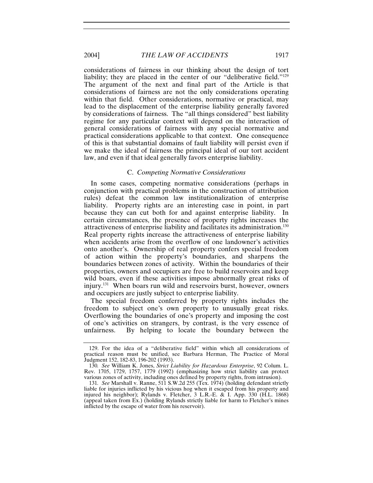2004] *THE LAW OF ACCIDENTS* 1917

considerations of fairness in our thinking about the design of tort liability; they are placed in the center of our "deliberative field."129 The argument of the next and final part of the Article is that considerations of fairness are not the only considerations operating within that field. Other considerations, normative or practical, may lead to the displacement of the enterprise liability generally favored by considerations of fairness. The "all things considered" best liability regime for any particular context will depend on the interaction of general considerations of fairness with any special normative and practical considerations applicable to that context. One consequence of this is that substantial domains of fault liability will persist even if we make the ideal of fairness the principal ideal of our tort accident law, and even if that ideal generally favors enterprise liability.

## C. *Competing Normative Considerations*

In some cases, competing normative considerations (perhaps in conjunction with practical problems in the construction of attribution rules) defeat the common law institutionalization of enterprise liability. Property rights are an interesting case in point, in part because they can cut both for and against enterprise liability. In certain circumstances, the presence of property rights increases the attractiveness of enterprise liability and facilitates its administration.130 Real property rights increase the attractiveness of enterprise liability when accidents arise from the overflow of one landowner's activities onto another's. Ownership of real property confers special freedom of action within the property's boundaries, and sharpens the boundaries between zones of activity. Within the boundaries of their properties, owners and occupiers are free to build reservoirs and keep wild boars, even if these activities impose abnormally great risks of injury.131 When boars run wild and reservoirs burst, however, owners and occupiers are justly subject to enterprise liability.

The special freedom conferred by property rights includes the freedom to subject one's own property to unusually great risks. Overflowing the boundaries of one's property and imposing the cost of one's activities on strangers, by contrast, is the very essence of unfairness. By helping to locate the boundary between the

 <sup>129.</sup> For the idea of a "deliberative field" within which all considerations of practical reason must be unified, see Barbara Herman, The Practice of Moral Judgment 152, 182-83, 196-202 (1993).

<sup>130</sup>*. See* William K. Jones, *Strict Liability for Hazardous Enterprise*, 92 Colum. L. Rev. 1705, 1729, 1757, 1779 (1992) (emphasizing how strict liability can protect various zones of activity, including ones defined by property rights, from intrusion).

<sup>131</sup>*. See* Marshall v. Ranne, 511 S.W.2d 255 (Tex. 1974) (holding defendant strictly liable for injuries inflicted by his vicious hog when it escaped from his property and injured his neighbor); Rylands v. Fletcher, 3 L.R.-E. & I. App. 330 (H.L. 1868) (appeal taken from Ex.) (holding Rylands strictly liable for harm to Fletcher's mines inflicted by the escape of water from his reservoir).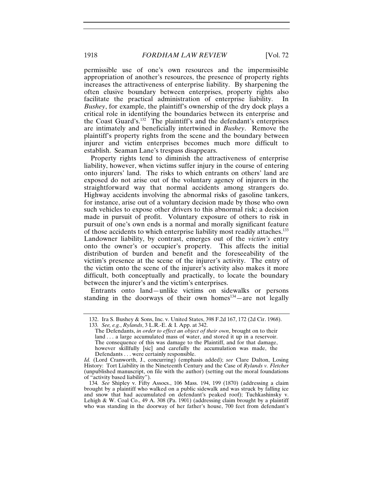1918 *FORDHAM LAW REVIEW* [Vol. 72

permissible use of one's own resources and the impermissible appropriation of another's resources, the presence of property rights increases the attractiveness of enterprise liability. By sharpening the often elusive boundary between enterprises, property rights also facilitate the practical administration of enterprise liability. In *Bushey*, for example, the plaintiff's ownership of the dry dock plays a critical role in identifying the boundaries between its enterprise and the Coast Guard's.132 The plaintiff's and the defendant's enterprises are intimately and beneficially intertwined in *Bushey*. Remove the plaintiff's property rights from the scene and the boundary between injurer and victim enterprises becomes much more difficult to establish. Seaman Lane's trespass disappears.

Property rights tend to diminish the attractiveness of enterprise liability, however, when victims suffer injury in the course of entering onto injurers' land. The risks to which entrants on others' land are exposed do not arise out of the voluntary agency of injurers in the straightforward way that normal accidents among strangers do. Highway accidents involving the abnormal risks of gasoline tankers, for instance, arise out of a voluntary decision made by those who own such vehicles to expose other drivers to this abnormal risk; a decision made in pursuit of profit. Voluntary exposure of others to risk in pursuit of one's own ends is a normal and morally significant feature of those accidents to which enterprise liability most readily attaches.133 Landowner liability, by contrast, emerges out of the *victim's* entry onto the owner's or occupier's property. This affects the initial distribution of burden and benefit and the foreseeability of the victim's presence at the scene of the injurer's activity. The entry of the victim onto the scene of the injurer's activity also makes it more difficult, both conceptually and practically, to locate the boundary between the injurer's and the victim's enterprises.

Entrants onto land—unlike victims on sidewalks or persons standing in the doorways of their own homes  $134$  are not legally

 <sup>132.</sup> Ira S. Bushey & Sons, Inc. v. United States, 398 F.2d 167, 172 (2d Cir. 1968). 133*. See, e.g.*, *Rylands*, 3 L.R.-E. & I. App. at 342.

The Defendants, *in order to effect an object of their own*, brought on to their land . . . a large accumulated mass of water, and stored it up in a reservoir. The consequence of this was damage to the Plaintiff, and for that damage, however skillfully [sic] and carefully the accumulation was made, the Defendants . . . were certainly responsible.

*Id.* (Lord Cranworth, J., concurring) (emphasis added); *see* Clare Dalton, Losing History: Tort Liability in the Nineteenth Century and the Case of *Rylands v. Fletcher* (unpublished manuscript, on file with the author) (setting out the moral foundations of "activity based liability").

<sup>134</sup>*. See* Shipley v. Fifty Assocs., 106 Mass. 194, 199 (1870) (addressing a claim brought by a plaintiff who walked on a public sidewalk and was struck by falling ice and snow that had accumulated on defendant's peaked roof); Tuchkashinsky v. Lehigh & W. Coal Co., 49 A. 308 (Pa. 1901) (addressing claim brought by a plaintiff who was standing in the doorway of her father's house, 700 feet from defendant's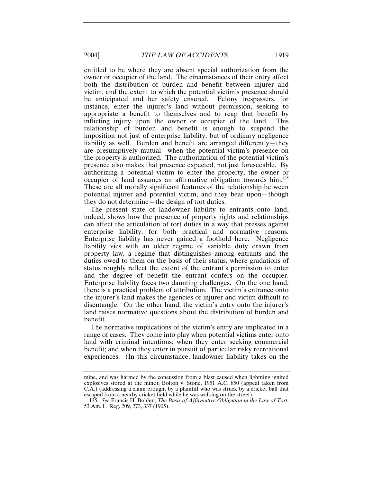2004] *THE LAW OF ACCIDENTS* 1919

entitled to be where they are absent special authorization from the owner or occupier of the land. The circumstances of their entry affect both the distribution of burden and benefit between injurer and victim, and the extent to which the potential victim's presence should be anticipated and her safety ensured. Felony trespassers, for instance, enter the injurer's land without permission, seeking to appropriate a benefit to themselves and to reap that benefit by inflicting injury upon the owner or occupier of the land. This relationship of burden and benefit is enough to suspend the imposition not just of enterprise liability, but of ordinary negligence liability as well. Burden and benefit are arranged differently—they are presumptively mutual—when the potential victim's presence on the property is authorized. The authorization of the potential victim's presence also makes that presence expected, not just foreseeable. By authorizing a potential victim to enter the property, the owner or occupier of land assumes an affirmative obligation towards him.135 These are all morally significant features of the relationship between potential injurer and potential victim, and they bear upon—though they do not determine—the design of tort duties.

The present state of landowner liability to entrants onto land, indeed, shows how the presence of property rights and relationships can affect the articulation of tort duties in a way that presses against enterprise liability, for both practical and normative reasons. Enterprise liability has never gained a foothold here. Negligence liability vies with an older regime of variable duty drawn from property law, a regime that distinguishes among entrants and the duties owed to them on the basis of their status, where gradations of status roughly reflect the extent of the entrant's permission to enter and the degree of benefit the entrant confers on the occupier. Enterprise liability faces two daunting challenges. On the one hand, there is a practical problem of attribution. The victim's entrance onto the injurer's land makes the agencies of injurer and victim difficult to disentangle. On the other hand, the victim's entry onto the injurer's land raises normative questions about the distribution of burden and benefit.

The normative implications of the victim's entry are implicated in a range of cases. They come into play when potential victims enter onto land with criminal intentions; when they enter seeking commercial benefit; and when they enter in pursuit of particular risky recreational experiences. (In this circumstance, landowner liability takes on the

mine, and was harmed by the concussion from a blast caused when lightning ignited explosives stored at the mine); Bolton v. Stone, 1951 A.C. 850 (appeal taken from C.A.) (addressing a claim brought by a plaintiff who was struck by a cricket ball that escaped from a nearby cricket field while he was walking on the street).

<sup>135</sup>*. See* Francis H. Bohlen, *The Basis of Affirmative Obligation in the Law of Tort*, 53 Am. L. Reg. 209, 273, 337 (1905).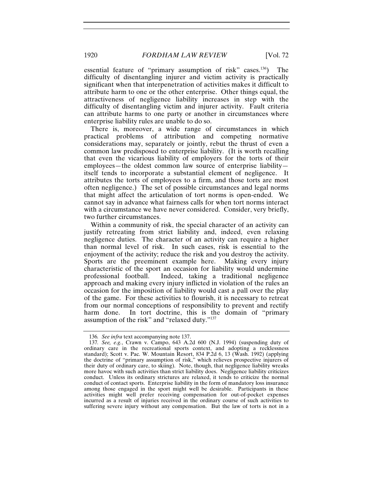essential feature of "primary assumption of risk" cases.<sup>136</sup>) The difficulty of disentangling injurer and victim activity is practically significant when that interpenetration of activities makes it difficult to attribute harm to one or the other enterprise. Other things equal, the attractiveness of negligence liability increases in step with the difficulty of disentangling victim and injurer activity. Fault criteria can attribute harms to one party or another in circumstances where enterprise liability rules are unable to do so.

There is, moreover, a wide range of circumstances in which practical problems of attribution and competing normative considerations may, separately or jointly, rebut the thrust of even a common law predisposed to enterprise liability. (It is worth recalling that even the vicarious liability of employers for the torts of their employees—the oldest common law source of enterprise liability itself tends to incorporate a substantial element of negligence. It attributes the torts of employees to a firm, and those torts are most often negligence.) The set of possible circumstances and legal norms that might affect the articulation of tort norms is open-ended. We cannot say in advance what fairness calls for when tort norms interact with a circumstance we have never considered. Consider, very briefly, two further circumstances.

Within a community of risk, the special character of an activity can justify retreating from strict liability and, indeed, even relaxing negligence duties. The character of an activity can require a higher than normal level of risk. In such cases, risk is essential to the enjoyment of the activity; reduce the risk and you destroy the activity. Sports are the preeminent example here. Making every injury characteristic of the sport an occasion for liability would undermine Indeed, taking a traditional negligence approach and making every injury inflicted in violation of the rules an occasion for the imposition of liability would cast a pall over the play of the game. For these activities to flourish, it is necessary to retreat from our normal conceptions of responsibility to prevent and rectify harm done. In tort doctrine, this is the domain of "primary" assumption of the risk" and "relaxed duty."137

<sup>136</sup>*. See infra* text accompanying note 137.

<sup>137</sup>*. See, e.g.*, Crawn v. Campo, 643 A.2d 600 (N.J. 1994) (suspending duty of ordinary care in the recreational sports context, and adopting a recklessness standard); Scott v. Pac. W. Mountain Resort, 834 P.2d 6, 13 (Wash. 1992) (applying the doctrine of "primary assumption of risk," which relieves prospective injurers of their duty of ordinary care, to skiing). Note, though, that negligence liability wreaks more havoc with such activities than strict liability does. Negligence liability criticizes conduct. Unless its ordinary strictures are relaxed, it tends to criticize the normal conduct of contact sports. Enterprise liability in the form of mandatory loss insurance among those engaged in the sport might well be desirable. Participants in these activities might well prefer receiving compensation for out-of-pocket expenses incurred as a result of injuries received in the ordinary course of such activities to suffering severe injury without any compensation. But the law of torts is not in a